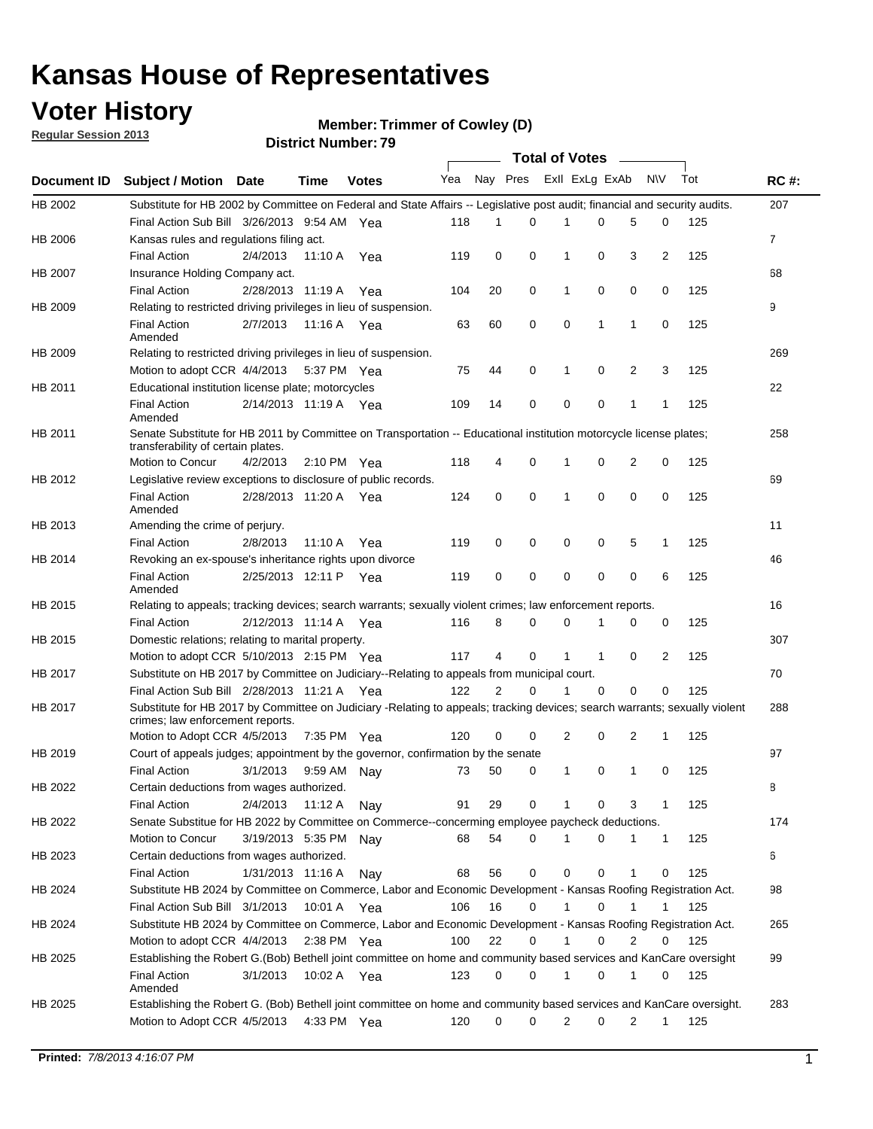## **Voter History**

**Member: Trimmer of Cowley (D)** 

**Regular Session 2013**

|                    |                                                                                                                                                                |                       | มาจน เงเ เงนเเเม <del>ต</del> เ . <i>เ ง</i> |              |              |    | Total of Votes – |                |              |                |                |     |                |
|--------------------|----------------------------------------------------------------------------------------------------------------------------------------------------------------|-----------------------|----------------------------------------------|--------------|--------------|----|------------------|----------------|--------------|----------------|----------------|-----|----------------|
| <b>Document ID</b> | <b>Subject / Motion Date</b>                                                                                                                                   |                       | Time                                         | <b>Votes</b> | Yea Nay Pres |    |                  | Exll ExLg ExAb |              |                | <b>NV</b>      | Tot | <b>RC#:</b>    |
| HB 2002            | Substitute for HB 2002 by Committee on Federal and State Affairs -- Legislative post audit; financial and security audits.                                     |                       |                                              |              |              |    |                  |                |              |                |                |     | 207            |
|                    | Final Action Sub Bill 3/26/2013 9:54 AM Yea                                                                                                                    |                       |                                              |              | 118          | 1  | $\Omega$         |                | 0            | 5              | 0              | 125 |                |
| HB 2006            | Kansas rules and regulations filing act.                                                                                                                       |                       |                                              |              |              |    |                  |                |              |                |                |     | $\overline{7}$ |
|                    | <b>Final Action</b>                                                                                                                                            | 2/4/2013              | 11:10 A Yea                                  |              | 119          | 0  | 0                | 1              | 0            | 3              | $\overline{2}$ | 125 |                |
| HB 2007            | Insurance Holding Company act.                                                                                                                                 |                       |                                              |              |              |    |                  |                |              |                |                |     | 68             |
|                    | <b>Final Action</b>                                                                                                                                            | 2/28/2013 11:19 A     |                                              | Yea          | 104          | 20 | 0                | 1              | 0            | 0              | 0              | 125 |                |
| HB 2009            | Relating to restricted driving privileges in lieu of suspension.                                                                                               |                       |                                              |              |              |    |                  |                |              |                |                |     | 9              |
|                    | <b>Final Action</b><br>Amended                                                                                                                                 | 2/7/2013              | 11:16 A Yea                                  |              | 63           | 60 | 0                | 0              | 1            | 1              | 0              | 125 |                |
| HB 2009            | Relating to restricted driving privileges in lieu of suspension.                                                                                               |                       |                                              |              |              |    |                  |                |              |                |                |     | 269            |
|                    | Motion to adopt CCR 4/4/2013                                                                                                                                   |                       | 5:37 PM Yea                                  |              | 75           | 44 | 0                | 1              | 0            | 2              | 3              | 125 |                |
| HB 2011            | Educational institution license plate; motorcycles                                                                                                             |                       |                                              |              |              |    |                  |                |              |                |                |     | 22             |
|                    | <b>Final Action</b><br>Amended                                                                                                                                 | 2/14/2013 11:19 A Yea |                                              |              | 109          | 14 | 0                | 0              | 0            | 1              | 1              | 125 |                |
| HB 2011            | Senate Substitute for HB 2011 by Committee on Transportation -- Educational institution motorcycle license plates;                                             |                       |                                              |              |              |    |                  |                |              |                |                |     | 258            |
|                    | transferability of certain plates.                                                                                                                             |                       |                                              |              |              |    |                  |                |              |                |                |     |                |
|                    | Motion to Concur                                                                                                                                               | 4/2/2013              | $2:10 \text{ PM}$ Yea                        |              | 118          | 4  | 0                | $\mathbf 1$    | 0            | $\overline{2}$ | 0              | 125 |                |
| HB 2012            | Legislative review exceptions to disclosure of public records.                                                                                                 |                       |                                              |              |              |    |                  |                |              |                |                |     | 69             |
|                    | <b>Final Action</b><br>Amended                                                                                                                                 | 2/28/2013 11:20 A Yea |                                              |              | 124          | 0  | 0                | 1              | 0            | 0              | 0              | 125 |                |
| HB 2013            | Amending the crime of perjury.                                                                                                                                 |                       |                                              |              |              |    |                  |                |              |                |                |     | 11             |
|                    | <b>Final Action</b>                                                                                                                                            | 2/8/2013              | 11:10 A                                      | Yea          | 119          | 0  | 0                | 0              | 0            | 5              | 1              | 125 |                |
| HB 2014            | Revoking an ex-spouse's inheritance rights upon divorce                                                                                                        |                       |                                              |              |              |    |                  |                |              |                |                |     | 46             |
|                    | <b>Final Action</b><br>Amended                                                                                                                                 | 2/25/2013 12:11 P     |                                              | Yea          | 119          | 0  | $\mathbf 0$      | 0              | 0            | 0              | 6              | 125 |                |
| HB 2015            | Relating to appeals; tracking devices; search warrants; sexually violent crimes; law enforcement reports.                                                      |                       |                                              |              |              |    |                  |                |              |                |                |     | 16             |
|                    | <b>Final Action</b>                                                                                                                                            | 2/12/2013 11:14 A     |                                              | Yea          | 116          | 8  | 0                | 0              | 1            | 0              | 0              | 125 |                |
| HB 2015            | Domestic relations; relating to marital property.                                                                                                              |                       |                                              |              |              |    |                  |                |              |                |                |     | 307            |
|                    | Motion to adopt CCR 5/10/2013 2:15 PM Yea                                                                                                                      |                       |                                              |              | 117          | 4  | 0                | $\mathbf{1}$   | $\mathbf{1}$ | 0              | 2              | 125 |                |
| HB 2017            | Substitute on HB 2017 by Committee on Judiciary--Relating to appeals from municipal court.                                                                     |                       |                                              |              |              |    |                  |                |              |                |                |     | 70             |
|                    | Final Action Sub Bill 2/28/2013 11:21 A Yea                                                                                                                    |                       |                                              |              | 122          | 2  | 0                | 1              | 0            | 0              | 0              | 125 |                |
| HB 2017            | Substitute for HB 2017 by Committee on Judiciary -Relating to appeals; tracking devices; search warrants; sexually violent<br>crimes; law enforcement reports. |                       |                                              |              |              |    |                  |                |              |                |                |     | 288            |
|                    | Motion to Adopt CCR 4/5/2013                                                                                                                                   |                       | 7:35 PM Yea                                  |              | 120          | 0  | 0                | 2              | 0            | 2              | 1              | 125 |                |
| HB 2019            | Court of appeals judges; appointment by the governor, confirmation by the senate                                                                               |                       |                                              |              |              |    |                  |                |              |                |                |     | 97             |
|                    | Final Action                                                                                                                                                   | 3/1/2013              | 9:59 AM Nay                                  |              | 73           | 50 | 0                | 1              | 0            | 1              | 0              | 125 |                |
| HB 2022            | Certain deductions from wages authorized.                                                                                                                      |                       |                                              |              |              |    |                  |                |              |                |                |     | 8              |
|                    | <b>Final Action</b>                                                                                                                                            | 2/4/2013              | 11:12 A                                      | Nav          | 91           | 29 | 0                |                | 0            | 3              | 1              | 125 |                |
| HB 2022            | Senate Substitue for HB 2022 by Committee on Commerce--concerming employee paycheck deductions.                                                                |                       |                                              |              |              |    |                  |                |              |                |                |     | 174            |
|                    | Motion to Concur                                                                                                                                               | 3/19/2013 5:35 PM Nav |                                              |              | 68           | 54 | 0                | 1              | 0            | 1              | $\mathbf{1}$   | 125 |                |
| HB 2023            | Certain deductions from wages authorized.                                                                                                                      |                       |                                              |              |              |    |                  |                |              |                |                |     | 6              |
|                    | <b>Final Action</b>                                                                                                                                            | 1/31/2013 11:16 A     |                                              | Nay          | 68           | 56 | 0                | 0              | 0            | 1              | 0              | 125 |                |
| HB 2024            | Substitute HB 2024 by Committee on Commerce, Labor and Economic Development - Kansas Roofing Registration Act.                                                 |                       |                                              |              |              |    |                  |                |              |                |                |     | 98             |
|                    | Final Action Sub Bill 3/1/2013                                                                                                                                 |                       | 10:01 A Yea                                  |              | 106          | 16 | 0                | 1              | 0            | 1              | 1              | 125 |                |
| HB 2024            | Substitute HB 2024 by Committee on Commerce, Labor and Economic Development - Kansas Roofing Registration Act.                                                 |                       |                                              |              |              |    |                  |                |              |                |                |     | 265            |
|                    | Motion to adopt CCR 4/4/2013                                                                                                                                   |                       | 2:38 PM Yea                                  |              | 100          | 22 | 0                | 1              | 0            | 2              | 0              | 125 |                |
| HB 2025            | Establishing the Robert G.(Bob) Bethell joint committee on home and community based services and KanCare oversight                                             |                       |                                              |              |              |    |                  |                |              |                |                |     | 99             |
|                    | <b>Final Action</b>                                                                                                                                            | 3/1/2013              | 10:02 A Yea                                  |              | 123          | 0  | 0                | $\mathbf{1}$   | 0            | 1              | 0              | 125 |                |
|                    | Amended                                                                                                                                                        |                       |                                              |              |              |    |                  |                |              |                |                |     |                |
| HB 2025            | Establishing the Robert G. (Bob) Bethell joint committee on home and community based services and KanCare oversight.                                           |                       |                                              |              |              |    |                  |                |              |                |                |     | 283            |
|                    | Motion to Adopt CCR 4/5/2013                                                                                                                                   |                       | 4:33 PM Yea                                  |              | 120          | 0  | 0                | 2              | 0            | 2              | $\mathbf{1}$   | 125 |                |
|                    |                                                                                                                                                                |                       |                                              |              |              |    |                  |                |              |                |                |     |                |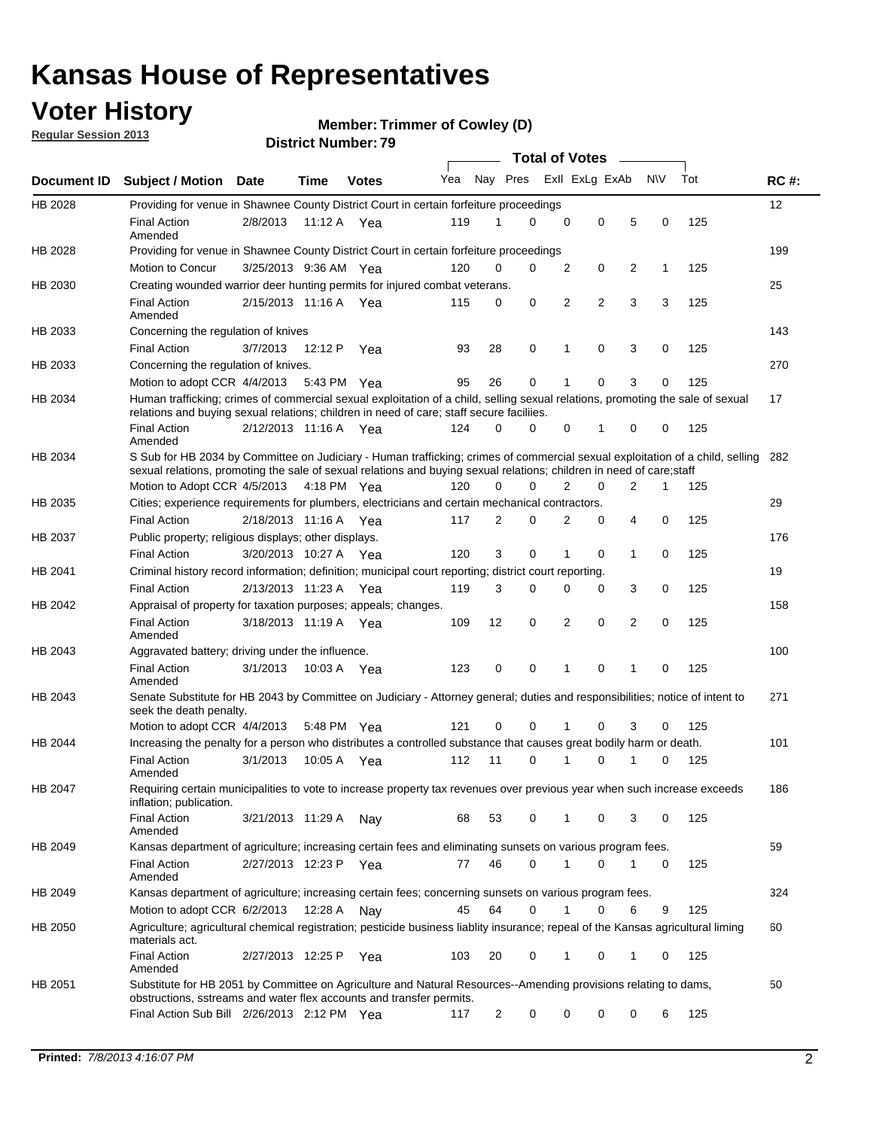## **Voter History**

**Member: Trimmer of Cowley (D)** 

**Regular Session 2013**

|                    |                                                                                                                                                                                                                                                       |                       |         |              |     |                         | <b>Total of Votes</b> |                |   |                |           |     |             |
|--------------------|-------------------------------------------------------------------------------------------------------------------------------------------------------------------------------------------------------------------------------------------------------|-----------------------|---------|--------------|-----|-------------------------|-----------------------|----------------|---|----------------|-----------|-----|-------------|
| <b>Document ID</b> | <b>Subject / Motion Date</b>                                                                                                                                                                                                                          |                       | Time    | <b>Votes</b> | Yea | Nay Pres Exll ExLg ExAb |                       |                |   |                | <b>NV</b> | Tot | <b>RC#:</b> |
| HB 2028            | Providing for venue in Shawnee County District Court in certain forfeiture proceedings                                                                                                                                                                |                       |         |              |     |                         |                       |                |   |                |           |     | 12          |
|                    | <b>Final Action</b><br>Amended                                                                                                                                                                                                                        | 2/8/2013              | 11:12 A | Yea          | 119 | 1                       | 0                     | 0              | 0 | 5              | 0         | 125 |             |
| HB 2028            | Providing for venue in Shawnee County District Court in certain forfeiture proceedings                                                                                                                                                                |                       |         |              |     |                         |                       |                |   |                |           |     | 199         |
|                    | Motion to Concur                                                                                                                                                                                                                                      | 3/25/2013 9:36 AM Yea |         |              | 120 | 0                       | 0                     | 2              | 0 | 2              | 1         | 125 |             |
| HB 2030            | Creating wounded warrior deer hunting permits for injured combat veterans.                                                                                                                                                                            |                       |         |              |     |                         |                       |                |   |                |           |     | 25          |
|                    | <b>Final Action</b><br>Amended                                                                                                                                                                                                                        | 2/15/2013 11:16 A Yea |         |              | 115 | 0                       | 0                     | 2              | 2 | 3              | 3         | 125 |             |
| HB 2033            | Concerning the regulation of knives                                                                                                                                                                                                                   |                       |         |              |     |                         |                       |                |   |                |           |     | 143         |
|                    | <b>Final Action</b>                                                                                                                                                                                                                                   | 3/7/2013              | 12:12 P | Yea          | 93  | 28                      | 0                     | 1              | 0 | 3              | 0         | 125 |             |
| HB 2033            | Concerning the regulation of knives.                                                                                                                                                                                                                  |                       |         |              |     |                         |                       |                |   |                |           |     | 270         |
|                    | Motion to adopt CCR 4/4/2013                                                                                                                                                                                                                          |                       |         | 5:43 PM Yea  | 95  | 26                      | 0                     |                | 0 | 3              | 0         | 125 |             |
| HB 2034            | Human trafficking; crimes of commercial sexual exploitation of a child, selling sexual relations, promoting the sale of sexual<br>relations and buying sexual relations; children in need of care; staff secure faciliies.                            |                       |         |              |     |                         |                       |                |   |                |           |     | 17          |
|                    | <b>Final Action</b><br>Amended                                                                                                                                                                                                                        | 2/12/2013 11:16 A Yea |         |              | 124 | 0                       | 0                     | 0              | 1 | 0              | 0         | 125 |             |
| HB 2034            | S Sub for HB 2034 by Committee on Judiciary - Human trafficking; crimes of commercial sexual exploitation of a child, selling<br>sexual relations, promoting the sale of sexual relations and buying sexual relations; children in need of care;staff |                       |         |              |     |                         |                       |                |   |                |           |     | 282         |
|                    | Motion to Adopt CCR 4/5/2013 4:18 PM Yea                                                                                                                                                                                                              |                       |         |              | 120 | 0                       | 0                     | $\overline{2}$ | 0 | $\overline{2}$ | 1         | 125 |             |
| HB 2035            | Cities; experience requirements for plumbers, electricians and certain mechanical contractors.                                                                                                                                                        |                       |         |              |     |                         |                       |                |   |                |           |     | 29          |
|                    | <b>Final Action</b>                                                                                                                                                                                                                                   | 2/18/2013 11:16 A     |         | Yea          | 117 | 2                       | 0                     | 2              | 0 | 4              | 0         | 125 |             |
| HB 2037            | Public property; religious displays; other displays.                                                                                                                                                                                                  |                       |         |              |     |                         |                       |                |   |                |           |     | 176         |
|                    | <b>Final Action</b>                                                                                                                                                                                                                                   | 3/20/2013 10:27 A     |         | Yea          | 120 | 3                       | 0                     |                | 0 | 1              | 0         | 125 |             |
| HB 2041            | Criminal history record information; definition; municipal court reporting; district court reporting.                                                                                                                                                 |                       |         |              |     |                         |                       |                |   |                |           |     | 19          |
|                    | <b>Final Action</b>                                                                                                                                                                                                                                   | 2/13/2013 11:23 A     |         | Yea          | 119 | 3                       | 0                     | 0              | 0 | 3              | 0         | 125 |             |
| HB 2042            | Appraisal of property for taxation purposes; appeals; changes.                                                                                                                                                                                        |                       |         |              |     |                         |                       |                |   |                |           |     | 158         |
|                    | <b>Final Action</b><br>Amended                                                                                                                                                                                                                        | 3/18/2013 11:19 A Yea |         |              | 109 | 12                      | 0                     | 2              | 0 | 2              | 0         | 125 |             |
| HB 2043            | Aggravated battery; driving under the influence.                                                                                                                                                                                                      |                       |         |              |     |                         |                       |                |   |                |           |     | 100         |
|                    | <b>Final Action</b><br>Amended                                                                                                                                                                                                                        | 3/1/2013              |         | 10:03 A Yea  | 123 | 0                       | 0                     | 1              | 0 | 1              | 0         | 125 |             |
| HB 2043            | Senate Substitute for HB 2043 by Committee on Judiciary - Attorney general; duties and responsibilities; notice of intent to<br>seek the death penalty.                                                                                               |                       |         |              |     |                         |                       |                |   |                |           |     | 271         |
|                    | Motion to adopt CCR 4/4/2013                                                                                                                                                                                                                          |                       |         | 5:48 PM Yea  | 121 | 0                       | 0                     | 1              | 0 | 3              | 0         | 125 |             |
| HB 2044            | Increasing the penalty for a person who distributes a controlled substance that causes great bodily harm or death.                                                                                                                                    |                       |         |              |     |                         |                       |                |   |                |           |     | 101         |
|                    | <b>Final Action</b><br>Amended                                                                                                                                                                                                                        | 3/1/2013              | 10:05 A | Yea          | 112 | 11                      | 0                     | 1              | 0 | 1              | 0         | 125 |             |
| HB 2047            | Requiring certain municipalities to vote to increase property tax revenues over previous year when such increase exceeds<br>inflation; publication.                                                                                                   |                       |         |              |     |                         |                       |                |   |                |           |     | 186         |
|                    | <b>Final Action</b><br>Amended                                                                                                                                                                                                                        | 3/21/2013 11:29 A     |         | Nav          | 68  | 53                      | 0                     | 1              | 0 | 3              | 0         | 125 |             |
| HB 2049            | Kansas department of agriculture; increasing certain fees and eliminating sunsets on various program fees.                                                                                                                                            |                       |         |              |     |                         |                       |                |   |                |           |     | 59          |
|                    | <b>Final Action</b><br>Amended                                                                                                                                                                                                                        | 2/27/2013 12:23 P     |         | Yea          | 77  | 46                      | 0                     | 1              | 0 |                | 0         | 125 |             |
| HB 2049            | Kansas department of agriculture; increasing certain fees; concerning sunsets on various program fees.                                                                                                                                                |                       |         |              |     |                         |                       |                |   |                |           |     | 324         |
|                    | Motion to adopt CCR 6/2/2013                                                                                                                                                                                                                          |                       | 12:28 A | Nav          | 45  | 64                      | 0                     | 1              | 0 | 6              | 9         | 125 |             |
| HB 2050            | Agriculture; agricultural chemical registration; pesticide business liablity insurance; repeal of the Kansas agricultural liming<br>materials act.                                                                                                    |                       |         |              |     |                         |                       |                |   |                |           |     | 60          |
|                    | <b>Final Action</b><br>Amended                                                                                                                                                                                                                        | 2/27/2013 12:25 P     |         | Yea          | 103 | 20                      | 0                     |                | 0 | 1              | 0         | 125 |             |
| HB 2051            | Substitute for HB 2051 by Committee on Agriculture and Natural Resources--Amending provisions relating to dams,<br>obstructions, sstreams and water flex accounts and transfer permits.                                                               |                       |         |              |     |                         |                       |                |   |                |           |     | 50          |
|                    | Final Action Sub Bill 2/26/2013 2:12 PM Yea                                                                                                                                                                                                           |                       |         |              | 117 | $\overline{c}$          | 0                     | 0              | 0 | 0              | 6         | 125 |             |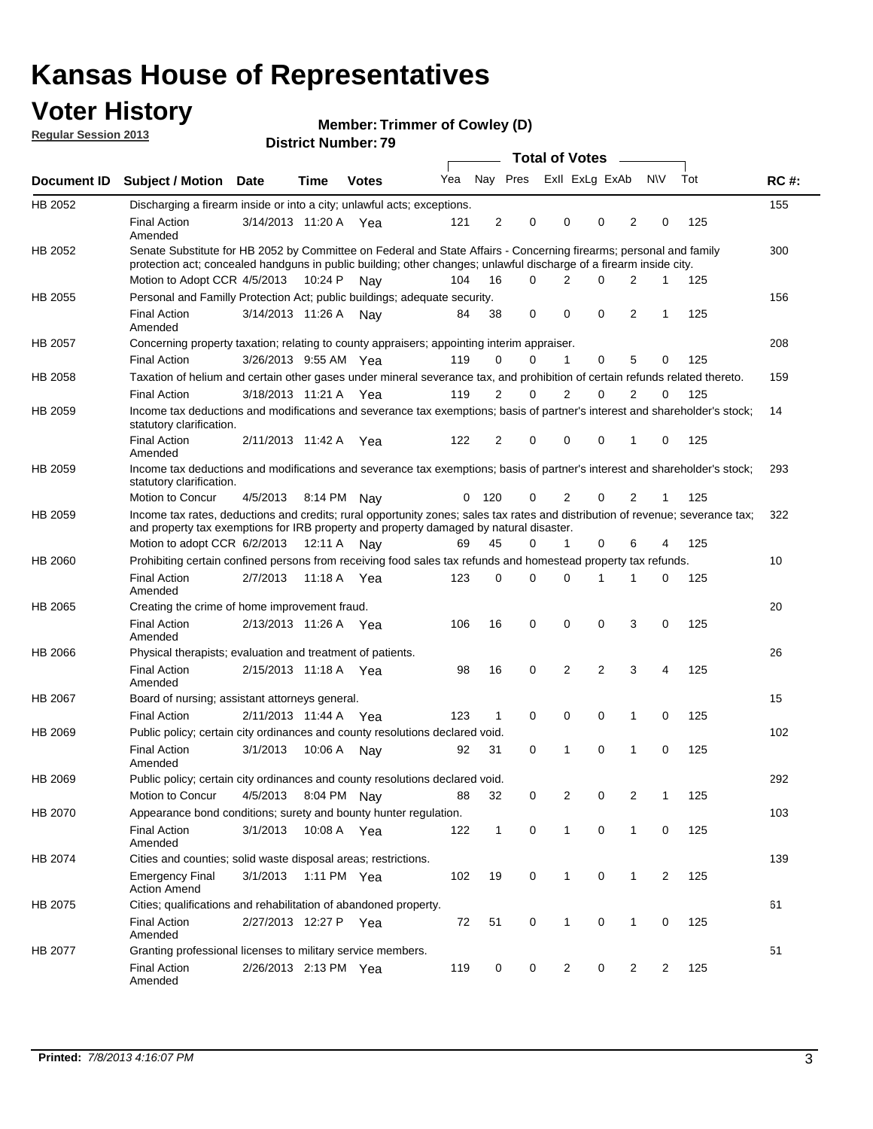## **Voter History**

**Member: Trimmer of Cowley (D)** 

**Regular Session 2013**

|             |                                                                                                                                                                                                                                          |                       |             | ט ו ויטעווואר ויטווע |     |                |          | <b>Total of Votes</b> |                | $\sim$         |                |                |     |             |
|-------------|------------------------------------------------------------------------------------------------------------------------------------------------------------------------------------------------------------------------------------------|-----------------------|-------------|----------------------|-----|----------------|----------|-----------------------|----------------|----------------|----------------|----------------|-----|-------------|
| Document ID | <b>Subject / Motion Date</b>                                                                                                                                                                                                             |                       | <b>Time</b> | <b>Votes</b>         | Yea |                | Nay Pres |                       | Exll ExLg ExAb |                |                | <b>NV</b>      | Tot | <b>RC#:</b> |
| HB 2052     | Discharging a firearm inside or into a city; unlawful acts; exceptions.                                                                                                                                                                  |                       |             |                      |     |                |          |                       |                |                |                |                |     | 155         |
|             | <b>Final Action</b><br>Amended                                                                                                                                                                                                           | 3/14/2013 11:20 A Yea |             |                      | 121 | $\overline{2}$ | 0        |                       | 0              | 0              | 2              | 0              | 125 |             |
| HB 2052     | Senate Substitute for HB 2052 by Committee on Federal and State Affairs - Concerning firearms; personal and family<br>protection act; concealed handguns in public building; other changes; unlawful discharge of a firearm inside city. |                       |             |                      |     |                |          |                       |                |                |                |                |     | 300         |
|             | Motion to Adopt CCR 4/5/2013 10:24 P                                                                                                                                                                                                     |                       |             | Nav                  | 104 | 16             | $\Omega$ |                       | 2              | 0              | 2              | 1              | 125 |             |
| HB 2055     | Personal and Familly Protection Act; public buildings; adequate security.                                                                                                                                                                |                       |             |                      |     |                |          |                       |                |                |                |                |     | 156         |
|             | <b>Final Action</b><br>Amended                                                                                                                                                                                                           | 3/14/2013 11:26 A     |             | Nav                  | 84  | 38             | 0        |                       | 0              | 0              | 2              | 1              | 125 |             |
| HB 2057     | Concerning property taxation; relating to county appraisers; appointing interim appraiser.                                                                                                                                               |                       |             |                      |     |                |          |                       |                |                |                |                |     | 208         |
|             | <b>Final Action</b>                                                                                                                                                                                                                      | 3/26/2013 9:55 AM Yea |             |                      | 119 | 0              | 0        |                       | $\mathbf{1}$   | 0              | 5              | 0              | 125 |             |
| HB 2058     | Taxation of helium and certain other gases under mineral severance tax, and prohibition of certain refunds related thereto.                                                                                                              |                       |             |                      |     |                |          |                       |                |                |                |                |     | 159         |
|             | <b>Final Action</b>                                                                                                                                                                                                                      | 3/18/2013 11:21 A Yea |             |                      | 119 | 2              | 0        |                       | $\overline{2}$ | $\Omega$       | 2              | $\Omega$       | 125 |             |
| HB 2059     | Income tax deductions and modifications and severance tax exemptions; basis of partner's interest and shareholder's stock;<br>statutory clarification.                                                                                   |                       |             |                      |     |                |          |                       |                |                |                |                |     | 14          |
|             | <b>Final Action</b><br>Amended                                                                                                                                                                                                           | 2/11/2013 11:42 A     |             | Yea                  | 122 | 2              | 0        |                       | 0              | 0              | 1              | 0              | 125 |             |
| HB 2059     | Income tax deductions and modifications and severance tax exemptions; basis of partner's interest and shareholder's stock;<br>statutory clarification.                                                                                   |                       |             |                      |     |                |          |                       |                |                |                |                |     | 293         |
|             | Motion to Concur                                                                                                                                                                                                                         | 4/5/2013              | 8:14 PM     | Nav                  | 0   | - 120          | 0        |                       | 2              | 0              | $\overline{2}$ | 1              | 125 |             |
| HB 2059     | Income tax rates, deductions and credits; rural opportunity zones; sales tax rates and distribution of revenue; severance tax;<br>and property tax exemptions for IRB property and property damaged by natural disaster.                 |                       |             |                      |     |                |          |                       |                |                |                |                |     | 322         |
|             | Motion to adopt CCR 6/2/2013                                                                                                                                                                                                             |                       | 12:11 A     | Nav                  | 69  | 45             | 0        |                       | $\mathbf{1}$   | $\Omega$       | 6              | 4              | 125 |             |
| HB 2060     | Prohibiting certain confined persons from receiving food sales tax refunds and homestead property tax refunds.                                                                                                                           |                       |             |                      |     |                |          |                       |                |                |                |                |     | 10          |
|             | <b>Final Action</b><br>Amended                                                                                                                                                                                                           | 2/7/2013              | 11:18 A     | Yea                  | 123 | 0              | 0        |                       | $\Omega$       | 1              | 1              | 0              | 125 |             |
| HB 2065     | Creating the crime of home improvement fraud.                                                                                                                                                                                            |                       |             |                      |     |                |          |                       |                |                |                |                |     | 20          |
|             | <b>Final Action</b><br>Amended                                                                                                                                                                                                           | 2/13/2013 11:26 A Yea |             |                      | 106 | 16             | 0        |                       | $\mathbf 0$    | 0              | 3              | 0              | 125 |             |
| HB 2066     | Physical therapists; evaluation and treatment of patients.                                                                                                                                                                               |                       |             |                      |     |                |          |                       |                |                |                |                |     | 26          |
|             | <b>Final Action</b><br>Amended                                                                                                                                                                                                           | 2/15/2013 11:18 A Yea |             |                      | 98  | 16             | 0        |                       | 2              | $\overline{2}$ | 3              | 4              | 125 |             |
| HB 2067     | Board of nursing; assistant attorneys general.                                                                                                                                                                                           |                       |             |                      |     |                |          |                       |                |                |                |                |     | 15          |
|             | <b>Final Action</b>                                                                                                                                                                                                                      | 2/11/2013 11:44 A Yea |             |                      | 123 | 1              | 0        |                       | 0              | 0              | 1              | 0              | 125 |             |
| HB 2069     | Public policy; certain city ordinances and county resolutions declared void.                                                                                                                                                             |                       |             |                      |     |                |          |                       |                |                |                |                |     | 102         |
|             | <b>Final Action</b><br>Amended                                                                                                                                                                                                           | 3/1/2013              | 10:06 A     | Nav                  | 92  | 31             | $\Omega$ |                       | 1              | $\Omega$       | 1              | $\mathbf 0$    | 125 |             |
| HB 2069     | Public policy; certain city ordinances and county resolutions declared void.                                                                                                                                                             |                       |             |                      |     |                |          |                       |                |                |                |                |     | 292         |
|             | <b>Motion to Concur</b>                                                                                                                                                                                                                  | 4/5/2013              |             | 8:04 PM Nay          | 88  | 32             | 0        |                       | 2              | 0              | $\overline{2}$ | 1              | 125 |             |
| HB 2070     | Appearance bond conditions; surety and bounty hunter regulation.                                                                                                                                                                         |                       |             |                      |     |                |          |                       |                |                |                |                |     | 103         |
|             | <b>Final Action</b><br>Amended                                                                                                                                                                                                           | 3/1/2013              |             | 10:08 A Yea          | 122 | $\mathbf{1}$   | 0        |                       | $\mathbf{1}$   | 0              | 1              | 0              | 125 |             |
| HB 2074     | Cities and counties; solid waste disposal areas; restrictions.                                                                                                                                                                           |                       |             |                      |     |                |          |                       |                |                |                |                |     | 139         |
|             | <b>Emergency Final</b><br><b>Action Amend</b>                                                                                                                                                                                            | 3/1/2013              |             | 1:11 PM Yea          | 102 | 19             | 0        |                       | 1              | 0              | 1              | $\overline{2}$ | 125 |             |
| HB 2075     | Cities; qualifications and rehabilitation of abandoned property.                                                                                                                                                                         |                       |             |                      |     |                |          |                       |                |                |                |                |     | 61          |
|             | <b>Final Action</b><br>Amended                                                                                                                                                                                                           | 2/27/2013 12:27 P     |             | Yea                  | 72  | 51             | 0        |                       | 1              | 0              | 1              | 0              | 125 |             |
| HB 2077     | Granting professional licenses to military service members.<br><b>Final Action</b><br>Amended                                                                                                                                            | 2/26/2013 2:13 PM Yea |             |                      | 119 | 0              | 0        |                       | $\overline{2}$ | 0              | $\overline{2}$ | 2              | 125 | 51          |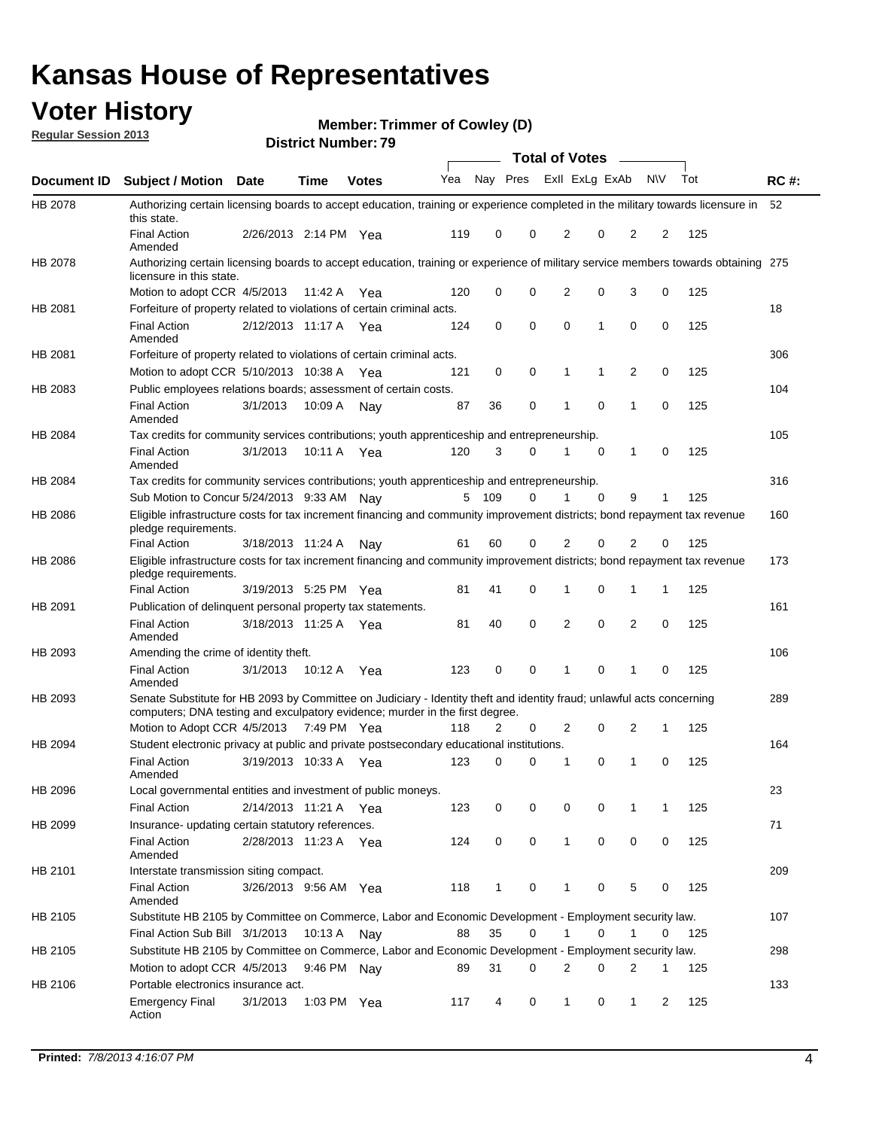## **Voter History**

**Member: Trimmer of Cowley (D)** 

**Regular Session 2013**

|             |                                                                                                                                                                                                       |                       |             |              |     |                         |          | <b>Total of Votes</b> |   | $\sim$         |           |     |             |
|-------------|-------------------------------------------------------------------------------------------------------------------------------------------------------------------------------------------------------|-----------------------|-------------|--------------|-----|-------------------------|----------|-----------------------|---|----------------|-----------|-----|-------------|
| Document ID | Subject / Motion Date                                                                                                                                                                                 |                       | <b>Time</b> | <b>Votes</b> | Yea | Nay Pres Exll ExLg ExAb |          |                       |   |                | <b>NV</b> | Tot | <b>RC#:</b> |
| HB 2078     | Authorizing certain licensing boards to accept education, training or experience completed in the military towards licensure in<br>this state.                                                        |                       |             |              |     |                         |          |                       |   |                |           |     | 52          |
|             | <b>Final Action</b><br>Amended                                                                                                                                                                        | 2/26/2013 2:14 PM Yea |             |              | 119 | 0                       | 0        | 2                     | 0 | 2              | 2         | 125 |             |
| HB 2078     | Authorizing certain licensing boards to accept education, training or experience of military service members towards obtaining 275<br>licensure in this state.                                        |                       |             |              |     |                         |          |                       |   |                |           |     |             |
|             | Motion to adopt CCR 4/5/2013                                                                                                                                                                          |                       | 11:42 A     | Yea          | 120 | 0                       | 0        | 2                     | 0 | 3              | 0         | 125 |             |
| HB 2081     | Forfeiture of property related to violations of certain criminal acts.                                                                                                                                |                       |             |              |     |                         |          |                       |   |                |           |     | 18          |
|             | <b>Final Action</b><br>Amended                                                                                                                                                                        | 2/12/2013 11:17 A Yea |             |              | 124 | 0                       | 0        | 0                     | 1 | 0              | 0         | 125 |             |
| HB 2081     | Forfeiture of property related to violations of certain criminal acts.                                                                                                                                |                       |             |              |     |                         |          |                       |   |                |           |     | 306         |
|             | Motion to adopt CCR 5/10/2013 10:38 A                                                                                                                                                                 |                       |             | Yea          | 121 | 0                       | 0        | 1                     | 1 | $\overline{2}$ | 0         | 125 |             |
| HB 2083     | Public employees relations boards; assessment of certain costs.                                                                                                                                       |                       |             |              |     |                         |          |                       |   |                |           |     | 104         |
|             | <b>Final Action</b><br>Amended                                                                                                                                                                        | 3/1/2013              | 10:09 A     | Nay          | 87  | 36                      | 0        | 1                     | 0 | 1              | 0         | 125 |             |
| HB 2084     | Tax credits for community services contributions; youth apprenticeship and entrepreneurship.                                                                                                          |                       |             |              |     |                         |          |                       |   |                |           |     | 105         |
|             | <b>Final Action</b><br>Amended                                                                                                                                                                        | 3/1/2013              | 10:11 A     | Yea          | 120 | 3                       | 0        | 1                     | 0 | 1              | 0         | 125 |             |
| HB 2084     | Tax credits for community services contributions; youth apprenticeship and entrepreneurship.                                                                                                          |                       |             |              |     |                         |          |                       |   |                |           |     | 316         |
|             | Sub Motion to Concur 5/24/2013 9:33 AM Nay                                                                                                                                                            |                       |             |              |     | 5 109                   | 0        | 1                     | 0 | 9              | 1         | 125 |             |
| HB 2086     | Eligible infrastructure costs for tax increment financing and community improvement districts; bond repayment tax revenue<br>pledge requirements.                                                     |                       |             |              |     |                         |          |                       |   |                |           |     | 160         |
|             | <b>Final Action</b>                                                                                                                                                                                   | 3/18/2013 11:24 A     |             | Nav          | 61  | 60                      | 0        | 2                     | 0 | 2              | 0         | 125 |             |
| HB 2086     | Eligible infrastructure costs for tax increment financing and community improvement districts; bond repayment tax revenue<br>pledge requirements.                                                     |                       |             |              |     |                         |          |                       |   |                |           |     | 173         |
|             | <b>Final Action</b>                                                                                                                                                                                   | 3/19/2013 5:25 PM     |             | Yea          | 81  | 41                      | $\Omega$ | 1                     | 0 | 1              | 1         | 125 |             |
| HB 2091     | Publication of delinquent personal property tax statements.                                                                                                                                           |                       |             |              |     |                         |          |                       |   |                |           |     | 161         |
|             | <b>Final Action</b><br>Amended                                                                                                                                                                        | 3/18/2013 11:25 A     |             | Yea          | 81  | 40                      | $\Omega$ | 2                     | 0 | 2              | 0         | 125 |             |
| HB 2093     | Amending the crime of identity theft.                                                                                                                                                                 |                       |             |              |     |                         |          |                       |   |                |           |     | 106         |
|             | <b>Final Action</b><br>Amended                                                                                                                                                                        | 3/1/2013              | 10:12 A Yea |              | 123 | 0                       | 0        | 1                     | 0 | 1              | 0         | 125 |             |
| HB 2093     | Senate Substitute for HB 2093 by Committee on Judiciary - Identity theft and identity fraud; unlawful acts concerning<br>computers; DNA testing and exculpatory evidence; murder in the first degree. |                       |             |              |     |                         |          |                       |   |                |           |     | 289         |
|             | Motion to Adopt CCR 4/5/2013 7:49 PM Yea                                                                                                                                                              |                       |             |              | 118 | 2                       | 0        | 2                     | 0 | 2              | 1         | 125 |             |
| HB 2094     | Student electronic privacy at public and private postsecondary educational institutions.                                                                                                              |                       |             |              |     |                         |          |                       |   |                |           |     | 164         |
|             | <b>Final Action</b><br>Amended                                                                                                                                                                        | 3/19/2013 10:33 A     |             | Yea          | 123 | 0                       | 0        |                       | 0 | 1              | 0         | 125 |             |
| HB 2096     | Local governmental entities and investment of public moneys.                                                                                                                                          |                       |             |              |     |                         |          |                       |   |                |           |     | 23          |
|             | <b>Final Action</b>                                                                                                                                                                                   | 2/14/2013 11:21 A     |             | Yea          | 123 | 0                       | 0        | 0                     | 0 | 1              | 1         | 125 |             |
| HB 2099     | Insurance- updating certain statutory references.                                                                                                                                                     |                       |             |              |     |                         |          |                       |   |                |           |     | 71          |
|             | Final Action<br>Amended                                                                                                                                                                               | 2/28/2013 11:23 A Yea |             |              | 124 | 0                       | 0        | 1                     | 0 | 0              | 0         | 125 |             |
| HB 2101     | Interstate transmission siting compact.                                                                                                                                                               |                       |             |              |     |                         |          |                       |   |                |           |     | 209         |
|             | <b>Final Action</b><br>Amended                                                                                                                                                                        | 3/26/2013 9:56 AM Yea |             |              | 118 | 1                       | 0        | 1                     | 0 | 5              | 0         | 125 |             |
| HB 2105     | Substitute HB 2105 by Committee on Commerce, Labor and Economic Development - Employment security law.                                                                                                |                       |             |              |     |                         |          |                       |   |                |           |     | 107         |
|             | Final Action Sub Bill 3/1/2013                                                                                                                                                                        |                       | 10:13 A Nay |              | 88  | 35                      | 0        |                       | 0 | 1              | 0         | 125 |             |
| HB 2105     | Substitute HB 2105 by Committee on Commerce, Labor and Economic Development - Employment security law.                                                                                                |                       |             |              |     |                         |          |                       |   |                |           |     | 298         |
|             | Motion to adopt CCR 4/5/2013                                                                                                                                                                          |                       | 9:46 PM Nay |              | 89  | 31                      | 0        | 2                     | 0 | 2              | 1         | 125 |             |
|             |                                                                                                                                                                                                       |                       |             |              |     |                         |          |                       |   |                |           |     |             |
| HB 2106     | Portable electronics insurance act.                                                                                                                                                                   |                       |             |              |     |                         |          |                       |   |                |           |     | 133         |
|             | <b>Emergency Final</b><br>Action                                                                                                                                                                      | 3/1/2013              | 1:03 PM Yea |              | 117 | 4                       | 0        | $\mathbf{1}$          | 0 | $\mathbf{1}$   | 2         | 125 |             |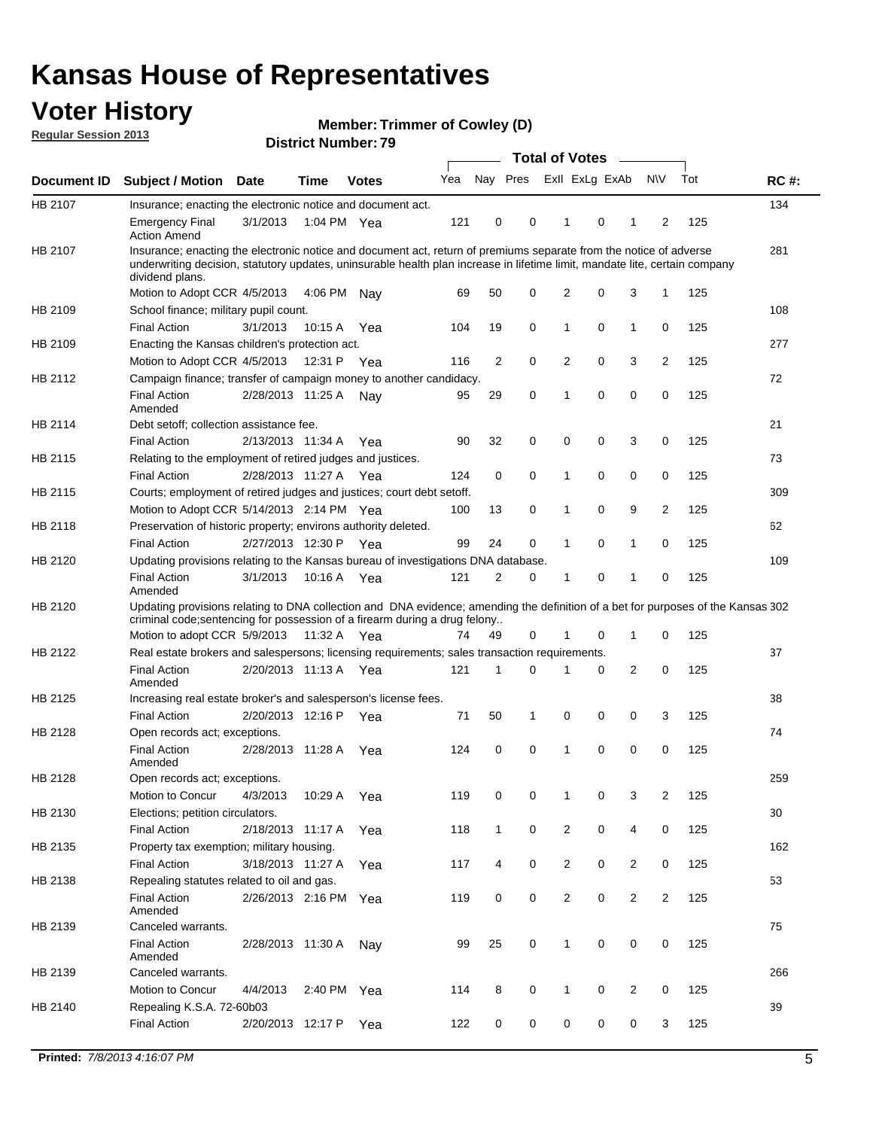## **Voter History**

**Member: Trimmer of Cowley (D)** 

**Regular Session 2013**

|             |                                                                                                                                                                                                                                                                      |                       |             |              |     |              |   | <b>Total of Votes</b>   |   | $\frac{1}{2}$  |                |     |             |
|-------------|----------------------------------------------------------------------------------------------------------------------------------------------------------------------------------------------------------------------------------------------------------------------|-----------------------|-------------|--------------|-----|--------------|---|-------------------------|---|----------------|----------------|-----|-------------|
| Document ID | <b>Subject / Motion</b>                                                                                                                                                                                                                                              | Date                  | <b>Time</b> | <b>Votes</b> | Yea |              |   | Nay Pres Exll ExLg ExAb |   |                | <b>NV</b>      | Tot | <b>RC#:</b> |
| HB 2107     | Insurance; enacting the electronic notice and document act.                                                                                                                                                                                                          |                       |             |              |     |              |   |                         |   |                |                |     | 134         |
|             | <b>Emergency Final</b><br><b>Action Amend</b>                                                                                                                                                                                                                        | 3/1/2013              | 1:04 PM Yea |              | 121 | 0            | 0 | 1                       | 0 | 1              | 2              | 125 |             |
| HB 2107     | Insurance; enacting the electronic notice and document act, return of premiums separate from the notice of adverse<br>underwriting decision, statutory updates, uninsurable health plan increase in lifetime limit, mandate lite, certain company<br>dividend plans. |                       |             |              |     |              |   |                         |   |                |                |     | 281         |
|             | Motion to Adopt CCR 4/5/2013                                                                                                                                                                                                                                         |                       | 4:06 PM     | Nav          | 69  | 50           | 0 | $\overline{2}$          | 0 | 3              | 1              | 125 |             |
| HB 2109     | School finance; military pupil count.                                                                                                                                                                                                                                |                       |             |              |     |              |   |                         |   |                |                |     | 108         |
|             | <b>Final Action</b>                                                                                                                                                                                                                                                  | 3/1/2013              | 10:15 A     | Yea          | 104 | 19           | 0 | 1                       | 0 | $\mathbf{1}$   | 0              | 125 |             |
| HB 2109     | Enacting the Kansas children's protection act.                                                                                                                                                                                                                       |                       |             |              |     |              |   |                         |   |                |                |     | 277         |
|             | Motion to Adopt CCR 4/5/2013                                                                                                                                                                                                                                         |                       | 12:31 P Yea |              | 116 | 2            | 0 | 2                       | 0 | 3              | 2              | 125 |             |
| HB 2112     | Campaign finance; transfer of campaign money to another candidacy.                                                                                                                                                                                                   |                       |             |              |     |              |   |                         |   |                |                |     | 72          |
|             | <b>Final Action</b><br>Amended                                                                                                                                                                                                                                       | 2/28/2013 11:25 A     |             | Nav          | 95  | 29           | 0 | 1                       | 0 | 0              | 0              | 125 |             |
| HB 2114     | Debt setoff: collection assistance fee.                                                                                                                                                                                                                              |                       |             |              |     |              |   |                         |   |                |                |     | 21          |
|             | <b>Final Action</b>                                                                                                                                                                                                                                                  | 2/13/2013 11:34 A     |             | Yea          | 90  | 32           | 0 | 0                       | 0 | 3              | 0              | 125 |             |
| HB 2115     | Relating to the employment of retired judges and justices.                                                                                                                                                                                                           |                       |             |              |     |              |   |                         |   |                |                |     | 73          |
|             | <b>Final Action</b>                                                                                                                                                                                                                                                  | 2/28/2013 11:27 A     |             | Yea          | 124 | 0            | 0 | 1                       | 0 | 0              | 0              | 125 |             |
| HB 2115     | Courts; employment of retired judges and justices; court debt setoff.                                                                                                                                                                                                |                       |             |              |     |              |   |                         |   |                |                |     | 309         |
|             | Motion to Adopt CCR 5/14/2013 2:14 PM Yea                                                                                                                                                                                                                            |                       |             |              | 100 | 13           | 0 | 1                       | 0 | 9              | 2              | 125 |             |
| HB 2118     | Preservation of historic property; environs authority deleted.                                                                                                                                                                                                       |                       |             |              |     |              |   |                         |   |                |                |     | 62          |
|             | <b>Final Action</b>                                                                                                                                                                                                                                                  | 2/27/2013 12:30 P     |             | Yea          | 99  | 24           | 0 |                         | 0 | 1              | 0              | 125 |             |
| HB 2120     | Updating provisions relating to the Kansas bureau of investigations DNA database.                                                                                                                                                                                    |                       |             |              |     |              |   |                         |   |                |                |     | 109         |
|             | <b>Final Action</b><br>Amended                                                                                                                                                                                                                                       | 3/1/2013              | 10:16 A     | Yea          | 121 | 2            | 0 | 1                       | 0 | 1              | 0              | 125 |             |
| HB 2120     | Updating provisions relating to DNA collection and DNA evidence; amending the definition of a bet for purposes of the Kansas 302                                                                                                                                     |                       |             |              |     |              |   |                         |   |                |                |     |             |
|             | criminal code; sentencing for possession of a firearm during a drug felony<br>Motion to adopt CCR 5/9/2013                                                                                                                                                           |                       | 11:32 A Yea |              | 74  | 49           | 0 |                         | 0 | 1              | 0              | 125 |             |
| HB 2122     | Real estate brokers and salespersons; licensing requirements; sales transaction requirements.                                                                                                                                                                        |                       |             |              |     |              |   |                         |   |                |                |     | 37          |
|             | <b>Final Action</b><br>Amended                                                                                                                                                                                                                                       | 2/20/2013 11:13 A Yea |             |              | 121 | 1            | 0 |                         | 0 | $\overline{2}$ | 0              | 125 |             |
| HB 2125     | Increasing real estate broker's and salesperson's license fees.                                                                                                                                                                                                      |                       |             |              |     |              |   |                         |   |                |                |     | 38          |
|             | <b>Final Action</b>                                                                                                                                                                                                                                                  | 2/20/2013 12:16 P     |             | Yea          | 71  | 50           | 1 | 0                       | 0 | 0              | 3              | 125 |             |
| HB 2128     | Open records act; exceptions.                                                                                                                                                                                                                                        |                       |             |              |     |              |   |                         |   |                |                |     | 74          |
|             | <b>Final Action</b><br>Amended                                                                                                                                                                                                                                       | 2/28/2013 11:28 A     |             | Yea          | 124 | 0            | 0 | 1                       | 0 | 0              | 0              | 125 |             |
| HB 2128     | Open records act; exceptions.                                                                                                                                                                                                                                        |                       |             |              |     |              |   |                         |   |                |                |     | 259         |
|             | Motion to Concur                                                                                                                                                                                                                                                     | 4/3/2013              | 10:29 A     | Yea          | 119 | 0            | 0 |                         | 0 | 3              | $\overline{2}$ | 125 |             |
| HB 2130     | Elections; petition circulators.                                                                                                                                                                                                                                     |                       |             |              |     |              |   |                         |   |                |                |     | 30          |
|             | <b>Final Action</b>                                                                                                                                                                                                                                                  | 2/18/2013 11:17 A     |             | Yea          | 118 | $\mathbf{1}$ | 0 | $\overline{2}$          | 0 | 4              | 0              | 125 |             |
| HB 2135     | Property tax exemption; military housing.                                                                                                                                                                                                                            |                       |             |              |     |              |   |                         |   |                |                |     | 162         |
|             | <b>Final Action</b>                                                                                                                                                                                                                                                  | 3/18/2013 11:27 A     |             | Yea          | 117 | 4            | 0 | $\overline{c}$          | 0 | $\overline{2}$ | 0              | 125 |             |
| HB 2138     | Repealing statutes related to oil and gas.                                                                                                                                                                                                                           |                       |             |              |     |              |   |                         |   |                |                |     | 53          |
|             | <b>Final Action</b><br>Amended                                                                                                                                                                                                                                       | 2/26/2013 2:16 PM Yea |             |              | 119 | 0            | 0 | $\overline{2}$          | 0 | $\overline{2}$ | 2              | 125 |             |
| HB 2139     | Canceled warrants.                                                                                                                                                                                                                                                   |                       |             |              |     |              |   |                         |   |                |                |     | 75          |
|             | <b>Final Action</b><br>Amended                                                                                                                                                                                                                                       | 2/28/2013 11:30 A     |             | Nay          | 99  | 25           | 0 | $\mathbf{1}$            | 0 | 0              | 0              | 125 |             |
| HB 2139     | Canceled warrants.                                                                                                                                                                                                                                                   |                       |             |              |     |              |   |                         |   |                |                |     | 266         |
|             | Motion to Concur                                                                                                                                                                                                                                                     | 4/4/2013              | 2:40 PM Yea |              | 114 | 8            | 0 | 1                       | 0 | 2              | 0              | 125 |             |
| HB 2140     | Repealing K.S.A. 72-60b03                                                                                                                                                                                                                                            |                       |             |              |     |              |   |                         |   |                |                |     | 39          |
|             | <b>Final Action</b>                                                                                                                                                                                                                                                  | 2/20/2013 12:17 P     |             | Yea          | 122 | 0            | 0 | 0                       | 0 | 0              | 3              | 125 |             |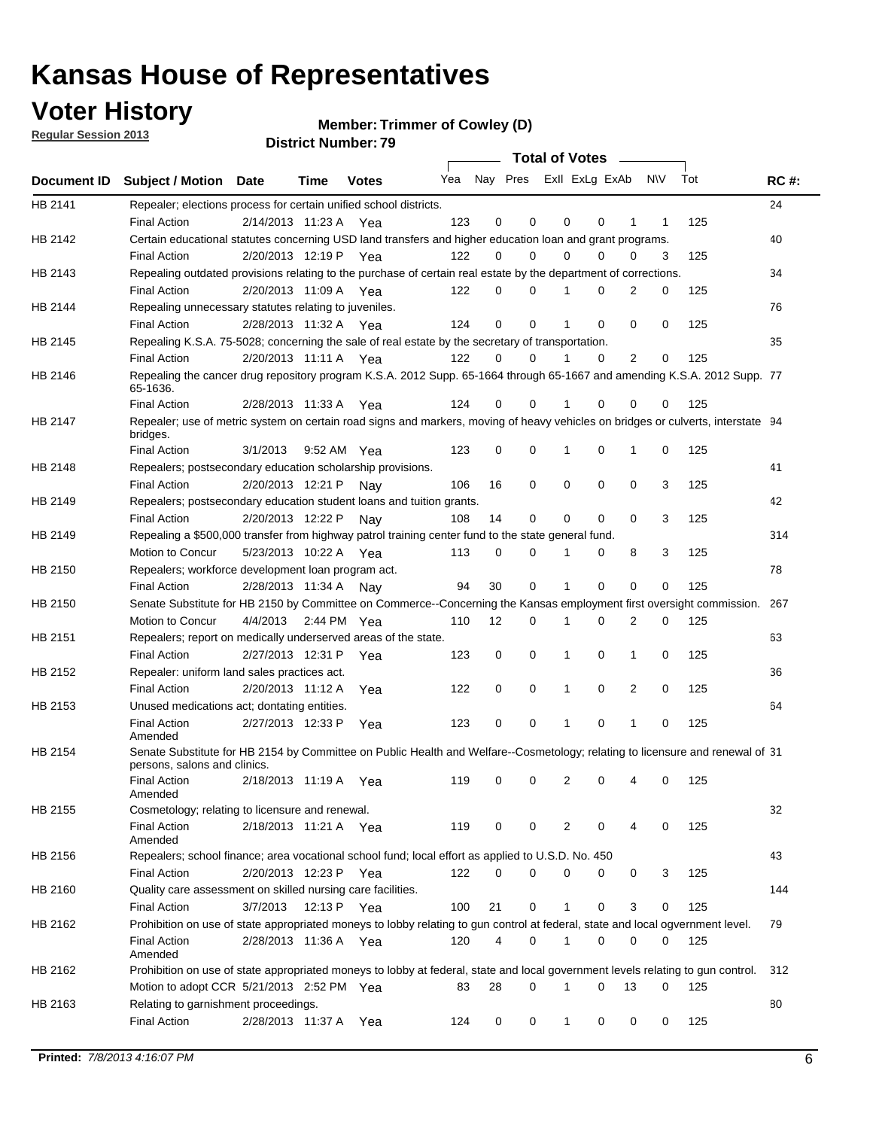**Voter History** 

**Member: Trimmer of Cowley (D)** 

**Regular Session 2013**

|                    |                                                                                                                                              |          |                       |              |     |    | <b>Total of Votes</b>   |             |          | $\sim$         |     |     |             |
|--------------------|----------------------------------------------------------------------------------------------------------------------------------------------|----------|-----------------------|--------------|-----|----|-------------------------|-------------|----------|----------------|-----|-----|-------------|
| <b>Document ID</b> | <b>Subject / Motion Date</b>                                                                                                                 |          | Time                  | <b>Votes</b> | Yea |    | Nay Pres ExII ExLg ExAb |             |          |                | N\V | Tot | <b>RC#:</b> |
| HB 2141            | Repealer; elections process for certain unified school districts.                                                                            |          |                       |              |     |    |                         |             |          |                |     |     | 24          |
|                    | <b>Final Action</b>                                                                                                                          |          | 2/14/2013 11:23 A     | Yea          | 123 | 0  | 0                       | 0           | 0        | 1              | 1   | 125 |             |
| HB 2142            | Certain educational statutes concerning USD land transfers and higher education loan and grant programs.                                     |          |                       |              |     |    |                         |             |          |                |     |     | 40          |
|                    | <b>Final Action</b>                                                                                                                          |          | 2/20/2013 12:19 P Yea |              | 122 | 0  | 0                       | 0           | $\Omega$ | 0              | 3   | 125 |             |
| HB 2143            | Repealing outdated provisions relating to the purchase of certain real estate by the department of corrections.                              |          |                       |              |     |    |                         |             |          |                |     |     | 34          |
|                    | <b>Final Action</b>                                                                                                                          |          | 2/20/2013 11:09 A Yea |              | 122 | 0  | 0                       | 1           | 0        | $\overline{2}$ | 0   | 125 |             |
| HB 2144            | Repealing unnecessary statutes relating to juveniles.                                                                                        |          |                       |              |     |    |                         |             |          |                |     |     | 76          |
|                    | <b>Final Action</b>                                                                                                                          |          | 2/28/2013 11:32 A Yea |              | 124 | 0  | 0                       | 1           | 0        | 0              | 0   | 125 |             |
| HB 2145            | Repealing K.S.A. 75-5028; concerning the sale of real estate by the secretary of transportation.                                             |          |                       |              |     |    |                         |             |          |                |     |     | 35          |
|                    | <b>Final Action</b>                                                                                                                          |          | 2/20/2013 11:11 A Yea |              | 122 | 0  | 0                       | 1           | 0        | 2              | 0   | 125 |             |
| HB 2146            | Repealing the cancer drug repository program K.S.A. 2012 Supp. 65-1664 through 65-1667 and amending K.S.A. 2012 Supp. 77<br>65-1636.         |          |                       |              |     |    |                         |             |          |                |     |     |             |
|                    | <b>Final Action</b>                                                                                                                          |          | 2/28/2013 11:33 A     | Yea          | 124 | 0  | 0                       | 1           | 0        | 0              | 0   | 125 |             |
| HB 2147            | Repealer; use of metric system on certain road signs and markers, moving of heavy vehicles on bridges or culverts, interstate 94<br>bridges. |          |                       |              |     |    |                         |             |          |                |     |     |             |
|                    | <b>Final Action</b>                                                                                                                          | 3/1/2013 |                       | 9:52 AM Yea  | 123 | 0  | 0                       |             | 0        | 1              | 0   | 125 |             |
| HB 2148            | Repealers; postsecondary education scholarship provisions.                                                                                   |          |                       |              |     |    |                         |             |          |                |     |     | 41          |
|                    | <b>Final Action</b>                                                                                                                          |          | 2/20/2013 12:21 P     | Nav          | 106 | 16 | $\mathbf 0$             | 0           | 0        | $\mathbf 0$    | 3   | 125 |             |
| HB 2149            | Repealers; postsecondary education student loans and tuition grants.                                                                         |          |                       |              |     |    |                         |             |          |                |     |     | 42          |
|                    | <b>Final Action</b>                                                                                                                          |          | 2/20/2013 12:22 P     | Nay          | 108 | 14 | 0                       | 0           | $\Omega$ | $\Omega$       | 3   | 125 |             |
| HB 2149            | Repealing a \$500,000 transfer from highway patrol training center fund to the state general fund.                                           |          |                       |              |     |    |                         |             |          |                |     |     | 314         |
|                    | Motion to Concur                                                                                                                             |          | 5/23/2013 10:22 A Yea |              | 113 | 0  | 0                       |             | 0        | 8              | 3   | 125 |             |
| HB 2150            | Repealers; workforce development loan program act.                                                                                           |          |                       |              |     |    |                         |             |          |                |     |     | 78          |
|                    | <b>Final Action</b>                                                                                                                          |          | 2/28/2013 11:34 A     | Nav          | 94  | 30 | $\mathbf 0$             | 1           | 0        | $\mathbf 0$    | 0   | 125 |             |
| HB 2150            | Senate Substitute for HB 2150 by Committee on Commerce--Concerning the Kansas employment first oversight commission.                         |          |                       |              |     |    |                         |             |          |                |     |     | 267         |
|                    | Motion to Concur                                                                                                                             |          | 4/4/2013 2:44 PM Yea  |              | 110 | 12 | 0                       | 1           | 0        | 2              | 0   | 125 |             |
| HB 2151            | Repealers; report on medically underserved areas of the state.                                                                               |          |                       |              |     |    |                         |             |          |                |     |     | 63          |
|                    | <b>Final Action</b>                                                                                                                          |          | 2/27/2013 12:31 P     | Yea          | 123 | 0  | $\mathbf 0$             | 1           | 0        | 1              | 0   | 125 |             |
| HB 2152            | Repealer: uniform land sales practices act.                                                                                                  |          |                       |              |     |    |                         |             |          |                |     |     | 36          |
|                    | <b>Final Action</b>                                                                                                                          |          | 2/20/2013 11:12 A     | Yea          | 122 | 0  | $\mathbf 0$             | 1           | 0        | 2              | 0   | 125 |             |
| HB 2153            | Unused medications act; dontating entities.                                                                                                  |          |                       |              |     |    |                         |             |          |                |     |     | 64          |
|                    | <b>Final Action</b><br>Amended                                                                                                               |          | 2/27/2013 12:33 P     | Yea          | 123 | 0  | 0                       | 1           | 0        | 1              | 0   | 125 |             |
| HB 2154            | Senate Substitute for HB 2154 by Committee on Public Health and Welfare--Cosmetology; relating to licensure and renewal of 31                |          |                       |              |     |    |                         |             |          |                |     |     |             |
|                    | persons, salons and clinics.<br><b>Final Action</b><br>Amended                                                                               |          | 2/18/2013 11:19 A     | Yea          | 119 | 0  | 0                       | 2           | 0        | 4              | 0   | 125 |             |
| HB 2155            | Cosmetology; relating to licensure and renewal.                                                                                              |          |                       |              |     |    |                         |             |          |                |     |     | 32          |
|                    | <b>Final Action</b>                                                                                                                          |          | 2/18/2013 11:21 A Yea |              | 119 | 0  | 0                       | 2           | 0        |                | 0   | 125 |             |
|                    | Amended                                                                                                                                      |          |                       |              |     |    |                         |             |          |                |     |     |             |
| HB 2156            | Repealers; school finance; area vocational school fund; local effort as applied to U.S.D. No. 450                                            |          |                       |              |     |    |                         |             |          |                |     |     | 43          |
|                    | <b>Final Action</b>                                                                                                                          |          | 2/20/2013 12:23 P     | Yea          | 122 | 0  | 0                       | 0           | 0        | 0              | 3   | 125 |             |
| HB 2160            | Quality care assessment on skilled nursing care facilities.                                                                                  |          |                       |              |     |    |                         |             |          |                |     |     | 144         |
|                    | <b>Final Action</b>                                                                                                                          | 3/7/2013 | 12:13 P               | Yea          | 100 | 21 | 0                       | 1           | 0        | 3              | 0   | 125 |             |
| HB 2162            | Prohibition on use of state appropriated moneys to lobby relating to gun control at federal, state and local ogvernment level.               |          |                       |              |     |    |                         |             |          |                |     |     | 79          |
|                    | <b>Final Action</b><br>Amended                                                                                                               |          | 2/28/2013 11:36 A Yea |              | 120 | 4  | 0                       | $\mathbf 1$ | 0        | 0              | 0   | 125 |             |
| HB 2162            | Prohibition on use of state appropriated moneys to lobby at federal, state and local government levels relating to gun control.              |          |                       |              |     |    |                         |             |          |                |     |     | 312         |
|                    | Motion to adopt CCR 5/21/2013 2:52 PM Yea                                                                                                    |          |                       |              | 83  | 28 | 0                       |             | 0        | 13             | 0   | 125 |             |
| HB 2163            | Relating to garnishment proceedings.                                                                                                         |          |                       |              |     |    |                         |             |          |                |     |     | 80          |
|                    | <b>Final Action</b>                                                                                                                          |          | 2/28/2013 11:37 A Yea |              | 124 | 0  | 0                       | $\mathbf 1$ | 0        | 0              | 0   | 125 |             |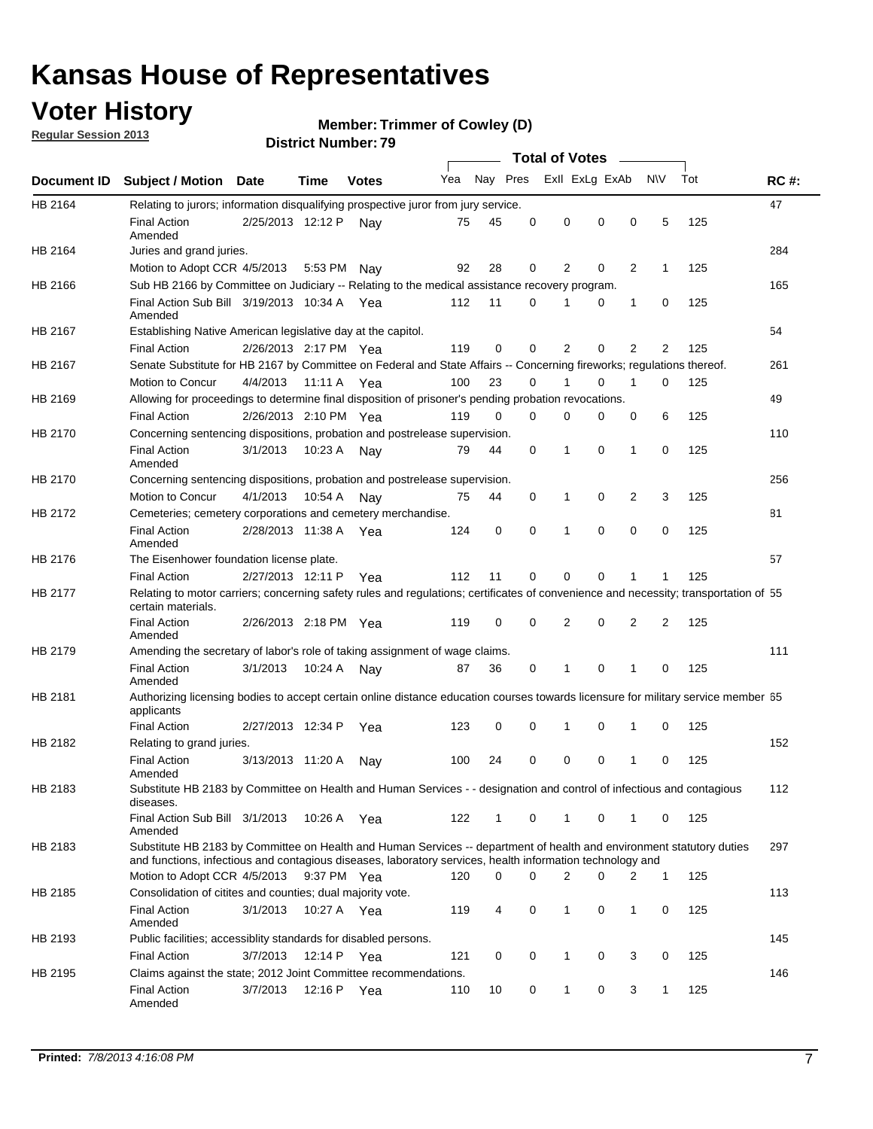## **Voter History**

**Member: Trimmer of Cowley (D)** 

**Regular Session 2013**

|             |                                                                                                                                                                                                                                    |                       |             |              |     |              |          | <b>Total of Votes</b> |   |                |              |     |             |
|-------------|------------------------------------------------------------------------------------------------------------------------------------------------------------------------------------------------------------------------------------|-----------------------|-------------|--------------|-----|--------------|----------|-----------------------|---|----------------|--------------|-----|-------------|
| Document ID | <b>Subject / Motion</b>                                                                                                                                                                                                            | <b>Date</b>           | Time        | <b>Votes</b> | Yea | Nay Pres     |          | Exll ExLg ExAb        |   |                | <b>NV</b>    | Tot | <b>RC#:</b> |
| HB 2164     | Relating to jurors; information disqualifying prospective juror from jury service.                                                                                                                                                 |                       |             |              |     |              |          |                       |   |                |              |     | 47          |
|             | <b>Final Action</b><br>Amended                                                                                                                                                                                                     | 2/25/2013 12:12 P     |             | Nay          | 75  | 45           | 0        | 0                     | 0 | 0              | 5            | 125 |             |
| HB 2164     | Juries and grand juries.                                                                                                                                                                                                           |                       |             |              |     |              |          |                       |   |                |              |     | 284         |
|             | Motion to Adopt CCR 4/5/2013                                                                                                                                                                                                       |                       | 5:53 PM     | Nav          | 92  | 28           | 0        | 2                     | 0 | 2              | 1            | 125 |             |
| HB 2166     | Sub HB 2166 by Committee on Judiciary -- Relating to the medical assistance recovery program.                                                                                                                                      |                       |             |              |     |              |          |                       |   |                |              |     | 165         |
|             | Final Action Sub Bill 3/19/2013 10:34 A Yea<br>Amended                                                                                                                                                                             |                       |             |              | 112 | 11           | 0        |                       | 0 | 1              | 0            | 125 |             |
| HB 2167     | Establishing Native American legislative day at the capitol.                                                                                                                                                                       |                       |             |              |     |              |          |                       |   |                |              |     | 54          |
|             | <b>Final Action</b>                                                                                                                                                                                                                | 2/26/2013 2:17 PM Yea |             |              | 119 | 0            | 0        | 2                     | 0 | $\overline{2}$ | 2            | 125 |             |
| HB 2167     | Senate Substitute for HB 2167 by Committee on Federal and State Affairs -- Concerning fireworks; regulations thereof.                                                                                                              |                       |             |              |     |              |          |                       |   |                |              |     | 261         |
|             | Motion to Concur                                                                                                                                                                                                                   | 4/4/2013 11:11 A Yea  |             |              | 100 | 23           | 0        |                       | 0 | 1              | $\Omega$     | 125 |             |
| HB 2169     | Allowing for proceedings to determine final disposition of prisoner's pending probation revocations.                                                                                                                               |                       |             |              |     |              |          |                       |   |                |              |     | 49          |
|             | <b>Final Action</b>                                                                                                                                                                                                                | 2/26/2013 2:10 PM Yea |             |              | 119 | $\Omega$     | $\Omega$ | 0                     | 0 | 0              | 6            | 125 |             |
| HB 2170     | Concerning sentencing dispositions, probation and postrelease supervision.                                                                                                                                                         |                       |             |              |     |              |          |                       |   |                |              |     | 110         |
|             | <b>Final Action</b><br>Amended                                                                                                                                                                                                     | 3/1/2013              | 10:23 A Nay |              | 79  | 44           | 0        | 1                     | 0 | $\mathbf{1}$   | 0            | 125 |             |
| HB 2170     | Concerning sentencing dispositions, probation and postrelease supervision.                                                                                                                                                         |                       |             |              |     |              |          |                       |   |                |              |     | 256         |
|             | Motion to Concur                                                                                                                                                                                                                   | 4/1/2013              | 10:54 A     | Nav          | 75  | 44           | 0        | 1                     | 0 | 2              | 3            | 125 |             |
| HB 2172     | Cemeteries; cemetery corporations and cemetery merchandise.                                                                                                                                                                        |                       |             |              |     |              |          |                       |   |                |              |     | 81          |
|             | <b>Final Action</b><br>Amended                                                                                                                                                                                                     | 2/28/2013 11:38 A     |             | Yea          | 124 | 0            | 0        | 1                     | 0 | 0              | 0            | 125 |             |
| HB 2176     | The Eisenhower foundation license plate.                                                                                                                                                                                           |                       |             |              |     |              |          |                       |   |                |              |     | 57          |
|             | <b>Final Action</b>                                                                                                                                                                                                                | 2/27/2013 12:11 P     |             | Yea          | 112 | 11           | 0        | $\Omega$              | 0 | 1              |              | 125 |             |
| HB 2177     | Relating to motor carriers; concerning safety rules and regulations; certificates of convenience and necessity; transportation of 55<br>certain materials.                                                                         |                       |             |              |     |              |          |                       |   |                |              |     |             |
|             | <b>Final Action</b><br>Amended                                                                                                                                                                                                     | 2/26/2013 2:18 PM Yea |             |              | 119 | $\mathbf 0$  | 0        | 2                     | 0 | 2              | 2            | 125 |             |
| HB 2179     | Amending the secretary of labor's role of taking assignment of wage claims.                                                                                                                                                        |                       |             |              |     |              |          |                       |   |                |              |     | 111         |
|             | <b>Final Action</b><br>Amended                                                                                                                                                                                                     | 3/1/2013              | 10:24 A     | Nav          | 87  | 36           | 0        | 1                     | 0 | 1              | 0            | 125 |             |
| HB 2181     | Authorizing licensing bodies to accept certain online distance education courses towards licensure for military service member 55<br>applicants                                                                                    |                       |             |              |     |              |          |                       |   |                |              |     |             |
|             | <b>Final Action</b>                                                                                                                                                                                                                | 2/27/2013 12:34 P     |             | Yea          | 123 | 0            | 0        | 1                     | 0 | 1              | 0            | 125 |             |
| HB 2182     | Relating to grand juries.                                                                                                                                                                                                          |                       |             |              |     |              |          |                       |   |                |              |     | 152         |
|             | <b>Final Action</b><br>Amended                                                                                                                                                                                                     | 3/13/2013 11:20 A     |             | Nav          | 100 | 24           | 0        | 0                     | 0 | 1              | 0            | 125 |             |
| HB 2183     | Substitute HB 2183 by Committee on Health and Human Services - - designation and control of infectious and contagious<br>diseases.                                                                                                 |                       |             |              |     |              |          |                       |   |                |              |     | 112         |
|             | Final Action Sub Bill 3/1/2013<br>Amended                                                                                                                                                                                          |                       | 10:26 A Yea |              | 122 | $\mathbf{1}$ | 0        | $\mathbf{1}$          | 0 | $\mathbf{1}$   | $\mathbf{0}$ | 125 |             |
| HB 2183     | Substitute HB 2183 by Committee on Health and Human Services -- department of health and environment statutory duties<br>and functions, infectious and contagious diseases, laboratory services, health information technology and |                       |             |              |     |              |          |                       |   |                |              |     | 297         |
|             | Motion to Adopt CCR 4/5/2013                                                                                                                                                                                                       |                       | 9:37 PM Yea |              | 120 | 0            | 0        | $\overline{2}$        | 0 | 2              | 1            | 125 |             |
| HB 2185     | Consolidation of citites and counties; dual majority vote.                                                                                                                                                                         |                       |             |              |     |              |          |                       |   |                |              |     | 113         |
|             | <b>Final Action</b><br>Amended                                                                                                                                                                                                     | 3/1/2013              | 10:27 A Yea |              | 119 | 4            | 0        | 1                     | 0 | 1              | 0            | 125 |             |
| HB 2193     | Public facilities; accessiblity standards for disabled persons.                                                                                                                                                                    |                       |             |              |     |              |          |                       |   |                |              |     | 145         |
|             | <b>Final Action</b>                                                                                                                                                                                                                | 3/7/2013              | 12:14 P Yea |              | 121 | 0            | 0        | 1                     | 0 | 3              | 0            | 125 |             |
| HB 2195     | Claims against the state; 2012 Joint Committee recommendations.                                                                                                                                                                    |                       |             |              |     |              |          |                       |   |                |              |     | 146         |
|             | <b>Final Action</b><br>Amended                                                                                                                                                                                                     | 3/7/2013              | 12:16 P Yea |              | 110 | 10           | 0        | $\mathbf{1}$          | 0 | 3              | $\mathbf{1}$ | 125 |             |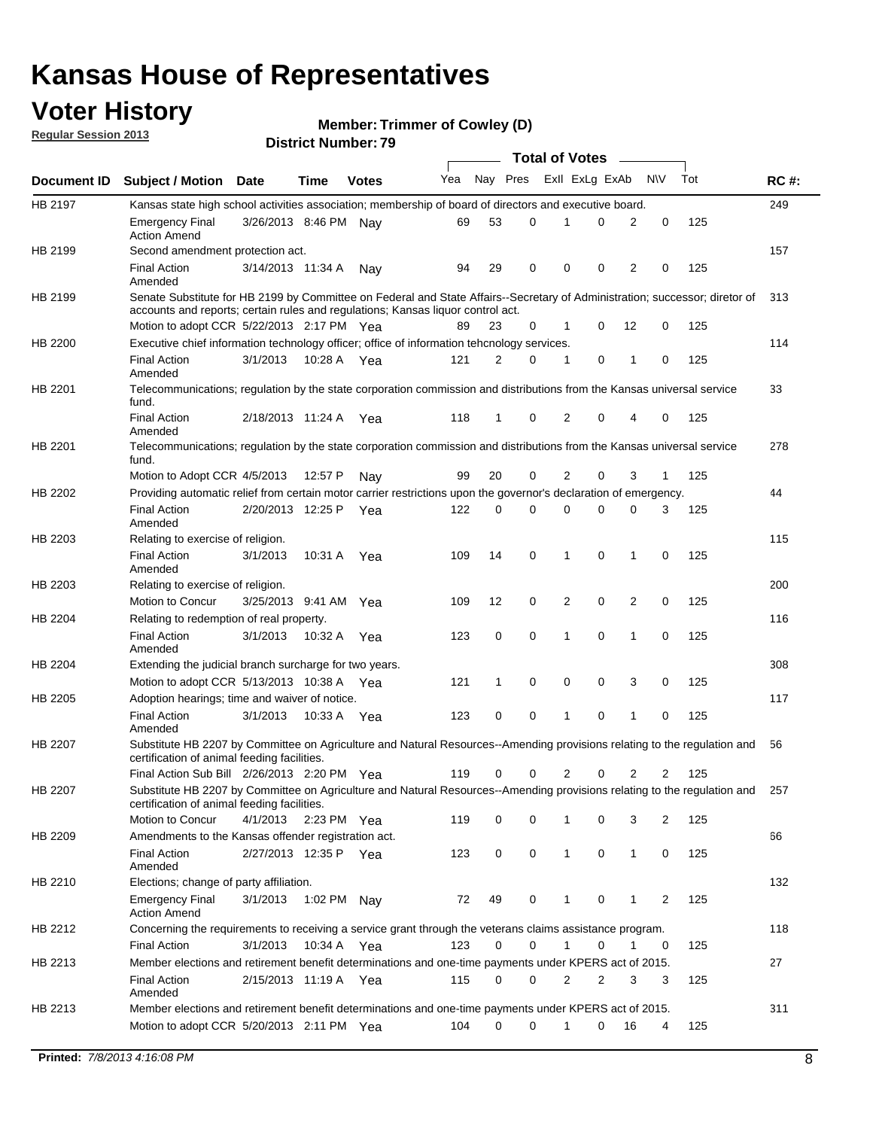## **Voter History**

**Member: Trimmer of Cowley (D)** 

**Regular Session 2013**

|             |                                                                                                                                                                             |                       |             |              |     |          |          | <b>Total of Votes</b> |   |              |            |     |             |
|-------------|-----------------------------------------------------------------------------------------------------------------------------------------------------------------------------|-----------------------|-------------|--------------|-----|----------|----------|-----------------------|---|--------------|------------|-----|-------------|
| Document ID | <b>Subject / Motion Date</b>                                                                                                                                                |                       | Time        | <b>Votes</b> | Yea | Nay Pres |          | Exll ExLg ExAb        |   |              | <b>N/A</b> | Tot | <b>RC#:</b> |
| HB 2197     | Kansas state high school activities association; membership of board of directors and executive board.                                                                      |                       |             |              |     |          |          |                       |   |              |            |     | 249         |
|             | Emergency Final<br><b>Action Amend</b>                                                                                                                                      | 3/26/2013 8:46 PM     |             | Nav          | 69  | 53       | 0        |                       | 0 | 2            | 0          | 125 |             |
| HB 2199     | Second amendment protection act.                                                                                                                                            |                       |             |              |     |          |          |                       |   |              |            |     | 157         |
|             | <b>Final Action</b><br>Amended                                                                                                                                              | 3/14/2013 11:34 A     |             | Nav          | 94  | 29       | 0        | 0                     | 0 | 2            | 0          | 125 |             |
| HB 2199     | Senate Substitute for HB 2199 by Committee on Federal and State Affairs--Secretary of Administration; successor; diretor of                                                 |                       |             |              |     |          |          |                       |   |              |            |     | 313         |
|             | accounts and reports; certain rules and regulations; Kansas liguor control act.                                                                                             |                       |             |              |     |          |          |                       |   |              |            |     |             |
|             | Motion to adopt CCR 5/22/2013 2:17 PM Yea                                                                                                                                   |                       |             |              | 89  | 23       | 0        | 1                     | 0 | 12           | 0          | 125 |             |
| HB 2200     | Executive chief information technology officer; office of information tehcnology services.                                                                                  |                       |             |              |     |          |          |                       |   |              |            |     | 114         |
|             | <b>Final Action</b><br>Amended                                                                                                                                              | 3/1/2013              | 10:28 A     | Yea          | 121 | 2        | 0        | 1                     | 0 | 1            | 0          | 125 |             |
| HB 2201     | Telecommunications; regulation by the state corporation commission and distributions from the Kansas universal service<br>fund.                                             |                       |             |              |     |          |          |                       |   |              |            |     | 33          |
|             | <b>Final Action</b><br>Amended                                                                                                                                              | 2/18/2013 11:24 A     |             | Yea          | 118 | 1        | 0        | 2                     | 0 | 4            | 0          | 125 |             |
| HB 2201     | Telecommunications; regulation by the state corporation commission and distributions from the Kansas universal service<br>fund.                                             |                       |             |              |     |          |          |                       |   |              |            |     | 278         |
|             | Motion to Adopt CCR 4/5/2013                                                                                                                                                |                       | 12:57 P     | Nav          | 99  | 20       | 0        | 2                     | 0 | 3            | 1          | 125 |             |
| HB 2202     | Providing automatic relief from certain motor carrier restrictions upon the governor's declaration of emergency.                                                            |                       |             |              |     |          |          |                       |   |              |            |     | 44          |
|             | <b>Final Action</b><br>Amended                                                                                                                                              | 2/20/2013 12:25 P     |             | Yea          | 122 | 0        | 0        | 0                     | 0 | 0            | 3          | 125 |             |
| HB 2203     | Relating to exercise of religion.                                                                                                                                           |                       |             |              |     |          |          |                       |   |              |            |     | 115         |
|             | <b>Final Action</b><br>Amended                                                                                                                                              | 3/1/2013              | 10:31 A     | Yea          | 109 | 14       | 0        | 1                     | 0 | 1            | 0          | 125 |             |
| HB 2203     | Relating to exercise of religion.                                                                                                                                           |                       |             |              |     |          |          |                       |   |              |            |     | 200         |
|             | Motion to Concur                                                                                                                                                            | 3/25/2013 9:41 AM     |             | Yea          | 109 | 12       | 0        | 2                     | 0 | 2            | 0          | 125 |             |
| HB 2204     | Relating to redemption of real property.                                                                                                                                    |                       |             |              |     |          |          |                       |   |              |            |     | 116         |
|             | <b>Final Action</b><br>Amended                                                                                                                                              | 3/1/2013              | 10:32 A     | Yea          | 123 | 0        | 0        | 1                     | 0 | 1            | 0          | 125 |             |
| HB 2204     | Extending the judicial branch surcharge for two years.                                                                                                                      |                       |             |              |     |          |          |                       |   |              |            |     | 308         |
|             | Motion to adopt CCR 5/13/2013 10:38 A                                                                                                                                       |                       |             | Yea          | 121 | 1        | 0        | 0                     | 0 | 3            | 0          | 125 |             |
| HB 2205     | Adoption hearings; time and waiver of notice.                                                                                                                               |                       |             |              |     |          |          |                       |   |              |            |     | 117         |
|             | <b>Final Action</b><br>Amended                                                                                                                                              | 3/1/2013              | 10:33 A Yea |              | 123 | 0        | 0        | 1                     | 0 | 1            | 0          | 125 |             |
| HB 2207     | Substitute HB 2207 by Committee on Agriculture and Natural Resources--Amending provisions relating to the regulation and<br>certification of animal feeding facilities.     |                       |             |              |     |          |          |                       |   |              |            |     | 56          |
|             | Final Action Sub Bill 2/26/2013 2:20 PM Yea                                                                                                                                 |                       |             |              | 119 | 0        | 0        | 2                     | 0 | 2            | 2          | 125 |             |
| HB 2207     | Substitute HB 2207 by Committee on Agriculture and Natural Resources--Amending provisions relating to the regulation and 257<br>certification of animal feeding facilities. |                       |             |              |     |          |          |                       |   |              |            |     |             |
|             | Motion to Concur                                                                                                                                                            | 4/1/2013 2:23 PM Yea  |             |              | 119 | 0        | 0        | 1                     | 0 | 3            | 2          | 125 |             |
| HB 2209     | Amendments to the Kansas offender registration act.                                                                                                                         |                       |             |              |     |          |          |                       |   |              |            |     | 66          |
|             | <b>Final Action</b><br>Amended                                                                                                                                              | 2/27/2013 12:35 P Yea |             |              | 123 | 0        | 0        | $\mathbf{1}$          | 0 | $\mathbf{1}$ | 0          | 125 |             |
| HB 2210     | Elections; change of party affiliation.                                                                                                                                     |                       |             |              |     |          |          |                       |   |              |            |     | 132         |
|             | <b>Emergency Final</b><br><b>Action Amend</b>                                                                                                                               | 3/1/2013              | 1:02 PM Nay |              | 72  | 49       | 0        |                       | 0 | 1            | 2          | 125 |             |
| HB 2212     | Concerning the requirements to receiving a service grant through the veterans claims assistance program.                                                                    |                       |             |              |     |          |          |                       |   |              |            |     | 118         |
|             | Final Action                                                                                                                                                                | 3/1/2013              | 10:34 A Yea |              | 123 | 0        | 0        | $\mathbf{1}$          | 0 | 1            | 0          | 125 |             |
| HB 2213     | Member elections and retirement benefit determinations and one-time payments under KPERS act of 2015.                                                                       |                       |             |              |     |          |          |                       |   |              |            |     | 27          |
|             | <b>Final Action</b><br>Amended                                                                                                                                              | 2/15/2013 11:19 A Yea |             |              | 115 | 0        | 0        | 2                     | 2 | 3            | 3          | 125 |             |
| HB 2213     | Member elections and retirement benefit determinations and one-time payments under KPERS act of 2015.                                                                       |                       |             |              |     |          |          |                       |   |              |            |     | 311         |
|             | Motion to adopt CCR 5/20/2013 2:11 PM Yea                                                                                                                                   |                       |             |              | 104 | $\Omega$ | $\Omega$ | 1                     | 0 | 16           | 4          | 125 |             |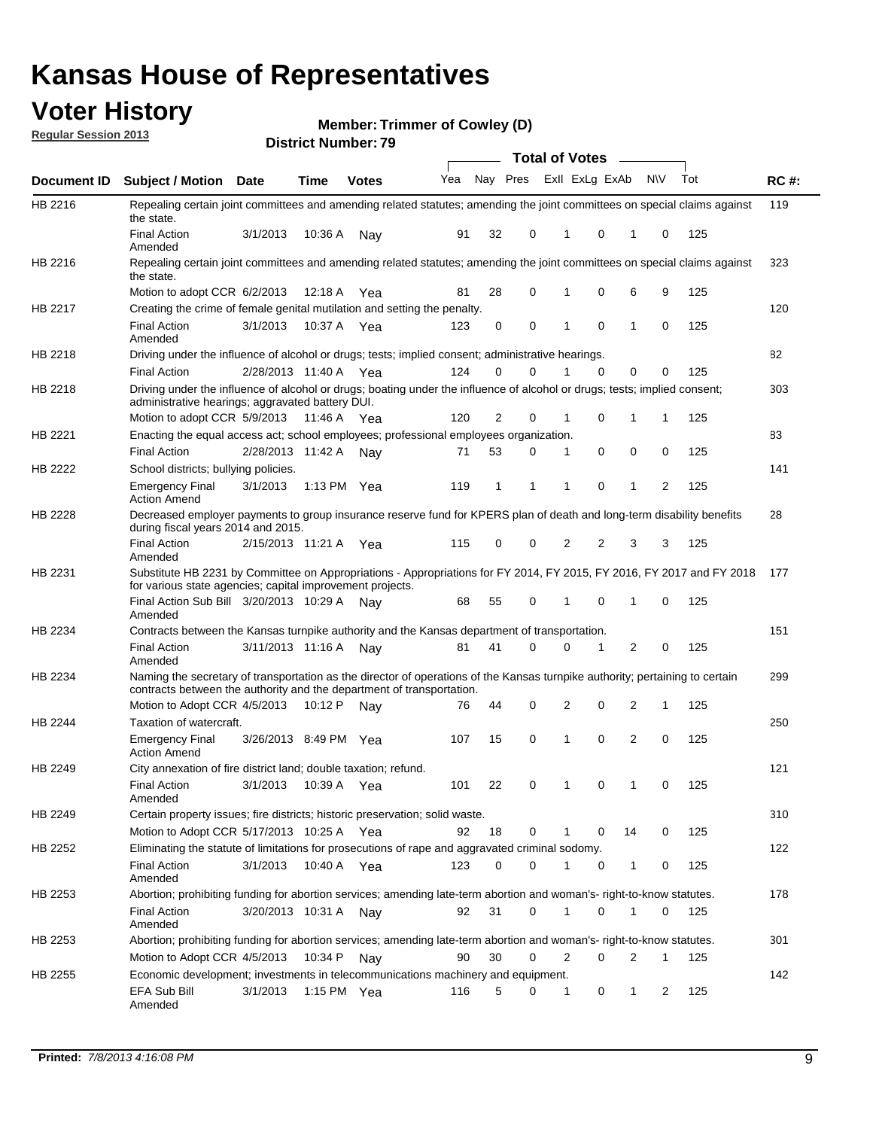## **Voter History**

**Member: Trimmer of Cowley (D)** 

**Regular Session 2013**

|                |                                                                                                                                                                                                       |                       |               |              |     |          |          | <b>Total of Votes</b> |          | $\overline{\phantom{a}}$ |           |     |             |
|----------------|-------------------------------------------------------------------------------------------------------------------------------------------------------------------------------------------------------|-----------------------|---------------|--------------|-----|----------|----------|-----------------------|----------|--------------------------|-----------|-----|-------------|
| Document ID    | Subject / Motion Date                                                                                                                                                                                 |                       | <b>Time</b>   | <b>Votes</b> | Yea | Nay Pres |          | Exll ExLg ExAb        |          |                          | <b>NV</b> | Tot | <b>RC#:</b> |
| HB 2216        | Repealing certain joint committees and amending related statutes; amending the joint committees on special claims against<br>the state.                                                               |                       |               |              |     |          |          |                       |          |                          |           |     | 119         |
|                | <b>Final Action</b><br>Amended                                                                                                                                                                        | 3/1/2013              | 10:36 A       | Nay          | 91  | 32       | 0        | 1                     | 0        | 1                        | 0         | 125 |             |
| HB 2216        | Repealing certain joint committees and amending related statutes; amending the joint committees on special claims against<br>the state.                                                               |                       |               |              |     |          |          |                       |          |                          |           |     | 323         |
|                | Motion to adopt CCR 6/2/2013                                                                                                                                                                          |                       | 12:18 A       | Yea          | 81  | 28       | 0        | 1                     | 0        | 6                        | 9         | 125 |             |
| HB 2217        | Creating the crime of female genital mutilation and setting the penalty.                                                                                                                              |                       |               |              |     |          |          |                       |          |                          |           |     | 120         |
|                | <b>Final Action</b><br>Amended                                                                                                                                                                        | 3/1/2013              | 10:37 A Yea   |              | 123 | 0        | 0        | 1                     | 0        | 1                        | 0         | 125 |             |
| HB 2218        | Driving under the influence of alcohol or drugs; tests; implied consent; administrative hearings.                                                                                                     |                       |               |              |     |          |          |                       |          |                          |           |     | 82          |
|                | <b>Final Action</b>                                                                                                                                                                                   | 2/28/2013 11:40 A Yea |               |              | 124 | 0        | $\Omega$ |                       | $\Omega$ | 0                        | 0         | 125 |             |
| HB 2218        | Driving under the influence of alcohol or drugs; boating under the influence of alcohol or drugs; tests; implied consent;<br>administrative hearings; aggravated battery DUI.                         |                       |               |              |     |          |          |                       |          |                          |           |     | 303         |
|                | Motion to adopt CCR 5/9/2013                                                                                                                                                                          |                       | 11:46 A Yea   |              | 120 | 2        | 0        | 1                     | 0        | 1                        | 1         | 125 |             |
| HB 2221        | Enacting the equal access act; school employees; professional employees organization.                                                                                                                 |                       |               |              |     |          |          |                       |          |                          |           |     | 83          |
|                | <b>Final Action</b>                                                                                                                                                                                   | 2/28/2013 11:42 A     |               | Nay          | 71  | 53       | 0        | 1                     | 0        | 0                        | 0         | 125 |             |
| HB 2222        | School districts; bullying policies.<br>Emergency Final                                                                                                                                               | 3/1/2013              | 1:13 PM $Yea$ |              | 119 | 1        | 1        | 1                     | 0        | 1                        | 2         | 125 | 141         |
| HB 2228        | <b>Action Amend</b><br>Decreased employer payments to group insurance reserve fund for KPERS plan of death and long-term disability benefits<br>during fiscal years 2014 and 2015.                    |                       |               |              |     |          |          |                       |          |                          |           |     | 28          |
|                | <b>Final Action</b><br>Amended                                                                                                                                                                        | 2/15/2013 11:21 A Yea |               |              | 115 | 0        | 0        | 2                     | 2        | 3                        | 3         | 125 |             |
| HB 2231        | Substitute HB 2231 by Committee on Appropriations - Appropriations for FY 2014, FY 2015, FY 2016, FY 2017 and FY 2018 177<br>for various state agencies; capital improvement projects.                |                       |               |              |     |          |          |                       |          |                          |           |     |             |
|                | Final Action Sub Bill 3/20/2013 10:29 A<br>Amended                                                                                                                                                    |                       |               | Nav          | 68  | 55       | 0        | 1                     | 0        | 1                        | 0         | 125 |             |
| HB 2234        | Contracts between the Kansas turnpike authority and the Kansas department of transportation.                                                                                                          |                       |               |              |     |          |          |                       |          |                          |           |     | 151         |
|                | <b>Final Action</b><br>Amended                                                                                                                                                                        | 3/11/2013 11:16 A     |               | Nay          | 81  | 41       | 0        | 0                     | 1        | 2                        | 0         | 125 |             |
| HB 2234        | Naming the secretary of transportation as the director of operations of the Kansas turnpike authority; pertaining to certain<br>contracts between the authority and the department of transportation. |                       |               |              |     |          |          |                       |          |                          |           |     | 299         |
|                | Motion to Adopt CCR 4/5/2013                                                                                                                                                                          |                       | 10:12 P       | Nav          | 76  | 44       | 0        | 2                     | 0        | 2                        | 1         | 125 |             |
| <b>HB 2244</b> | Taxation of watercraft.<br><b>Emergency Final</b>                                                                                                                                                     | 3/26/2013 8:49 PM Yea |               |              | 107 | 15       | 0        | 1                     | 0        | 2                        | 0         | 125 | 250         |
| HB 2249        | <b>Action Amend</b><br>City annexation of fire district land; double taxation; refund.                                                                                                                |                       |               |              |     |          |          |                       |          |                          |           |     | 121         |
|                | Final Action<br>Amended                                                                                                                                                                               | 3/1/2013 10:39 A Yea  |               |              | 101 | 22       | 0        | $\mathbf{1}$          | $\cap$   | 1                        | $\Omega$  | 125 |             |
| HB 2249        | Certain property issues; fire districts; historic preservation; solid waste.                                                                                                                          |                       |               |              |     |          |          |                       |          |                          |           |     | 310         |
|                | Motion to Adopt CCR 5/17/2013 10:25 A Yea                                                                                                                                                             |                       |               |              | 92  | 18       | 0        |                       | 0        | 14                       | 0         | 125 |             |
| HB 2252        | Eliminating the statute of limitations for prosecutions of rape and aggravated criminal sodomy.                                                                                                       |                       |               |              |     |          |          |                       |          |                          |           |     | 122         |
|                | <b>Final Action</b><br>Amended                                                                                                                                                                        | 3/1/2013              | 10:40 A Yea   |              | 123 | 0        | 0        |                       | 0        | 1                        | 0         | 125 |             |
| HB 2253        | Abortion; prohibiting funding for abortion services; amending late-term abortion and woman's- right-to-know statutes.                                                                                 |                       |               |              |     |          |          |                       |          |                          |           |     | 178         |
|                | <b>Final Action</b><br>Amended                                                                                                                                                                        | 3/20/2013 10:31 A     |               | Nav          | 92  | 31       | 0        | 1                     | 0        | 1                        | 0         | 125 |             |
| HB 2253        | Abortion; prohibiting funding for abortion services; amending late-term abortion and woman's- right-to-know statutes.                                                                                 |                       |               |              |     |          |          |                       |          |                          |           |     | 301         |
|                | Motion to Adopt CCR 4/5/2013                                                                                                                                                                          |                       | 10:34 P Nay   |              | 90  | 30       | 0        | 2                     | 0        | 2                        | 1         | 125 |             |
| HB 2255        | Economic development; investments in telecommunications machinery and equipment.                                                                                                                      |                       |               |              |     |          |          |                       |          |                          |           |     | 142         |
|                | EFA Sub Bill<br>Amended                                                                                                                                                                               | 3/1/2013              | 1:15 PM Yea   |              | 116 | 5        | 0        | -1                    | 0        | 1                        | 2         | 125 |             |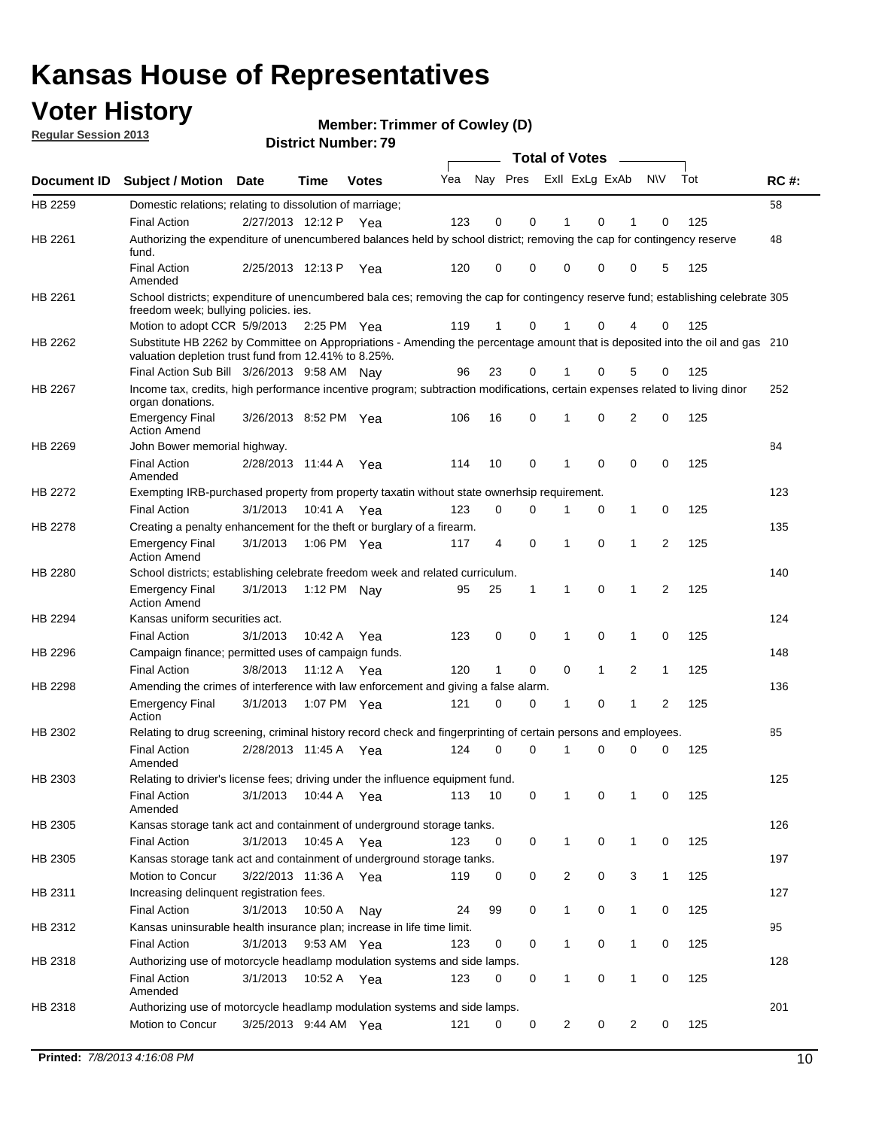## **Voter History**

**Member: Trimmer of Cowley (D)** 

**Regular Session 2013**

|             |                                                                                                                                                                                       |                       | 3 ו . וסעווואר וטנוש |              |     |                         |             | <b>Total of Votes</b> |              | $\overline{\phantom{a}}$ |              |     |             |
|-------------|---------------------------------------------------------------------------------------------------------------------------------------------------------------------------------------|-----------------------|----------------------|--------------|-----|-------------------------|-------------|-----------------------|--------------|--------------------------|--------------|-----|-------------|
| Document ID | <b>Subject / Motion Date</b>                                                                                                                                                          |                       | <b>Time</b>          | <b>Votes</b> | Yea | Nay Pres Exll ExLg ExAb |             |                       |              |                          | <b>NV</b>    | Tot | <b>RC#:</b> |
| HB 2259     | Domestic relations; relating to dissolution of marriage;                                                                                                                              |                       |                      |              |     |                         |             |                       |              |                          |              |     | 58          |
|             | <b>Final Action</b>                                                                                                                                                                   | 2/27/2013 12:12 P     |                      | Yea          | 123 | 0                       | 0           | 1                     | 0            | 1                        | $\Omega$     | 125 |             |
| HB 2261     | Authorizing the expenditure of unencumbered balances held by school district; removing the cap for contingency reserve<br>fund.                                                       |                       |                      |              |     |                         |             |                       |              |                          |              |     | 48          |
|             | <b>Final Action</b><br>Amended                                                                                                                                                        | 2/25/2013 12:13 P     |                      | Yea          | 120 | 0                       | 0           | 0                     | 0            | 0                        | 5            | 125 |             |
| HB 2261     | School districts; expenditure of unencumbered bala ces; removing the cap for contingency reserve fund; establishing celebrate 305<br>freedom week; bullying policies. ies.            |                       |                      |              |     |                         |             |                       |              |                          |              |     |             |
|             | Motion to adopt CCR 5/9/2013                                                                                                                                                          |                       | 2:25 PM Yea          |              | 119 | 1                       | 0           |                       | 0            | 4                        | 0            | 125 |             |
| HB 2262     | Substitute HB 2262 by Committee on Appropriations - Amending the percentage amount that is deposited into the oil and gas 210<br>valuation depletion trust fund from 12.41% to 8.25%. |                       |                      |              |     |                         |             |                       |              |                          |              |     |             |
|             | Final Action Sub Bill 3/26/2013 9:58 AM Nay                                                                                                                                           |                       |                      |              | 96  | 23                      | 0           |                       | 0            | 5                        | 0            | 125 |             |
| HB 2267     | Income tax, credits, high performance incentive program; subtraction modifications, certain expenses related to living dinor<br>organ donations.                                      |                       |                      |              |     |                         |             |                       |              |                          |              |     | 252         |
|             | <b>Emergency Final</b><br><b>Action Amend</b>                                                                                                                                         | 3/26/2013 8:52 PM Yea |                      |              | 106 | 16                      | 0           | 1                     | 0            | 2                        | 0            | 125 |             |
| HB 2269     | John Bower memorial highway.                                                                                                                                                          |                       |                      |              |     |                         |             |                       |              |                          |              |     | 84          |
|             | <b>Final Action</b><br>Amended                                                                                                                                                        | 2/28/2013 11:44 A Yea |                      |              | 114 | 10                      | 0           | 1                     | 0            | 0                        | 0            | 125 |             |
| HB 2272     | Exempting IRB-purchased property from property taxatin without state ownerhsip requirement.                                                                                           |                       |                      |              |     |                         |             |                       |              |                          |              |     | 123         |
|             | <b>Final Action</b>                                                                                                                                                                   | 3/1/2013              | 10:41 A              | Yea          | 123 | 0                       | 0           | 1                     | 0            | $\mathbf{1}$             | 0            | 125 |             |
| HB 2278     | Creating a penalty enhancement for the theft or burglary of a firearm.                                                                                                                |                       |                      |              |     |                         |             |                       |              |                          |              |     | 135         |
|             | <b>Emergency Final</b><br><b>Action Amend</b>                                                                                                                                         | 3/1/2013              | 1:06 PM Yea          |              | 117 | 4                       | $\mathbf 0$ | 1                     | 0            | 1                        | 2            | 125 |             |
| HB 2280     | School districts; establishing celebrate freedom week and related curriculum.                                                                                                         |                       |                      |              |     |                         |             |                       |              |                          |              |     | 140         |
|             | <b>Emergency Final</b><br><b>Action Amend</b>                                                                                                                                         | 3/1/2013              | 1:12 PM Nav          |              | 95  | 25                      | 1           | 1                     | 0            | 1                        | 2            | 125 |             |
| HB 2294     | Kansas uniform securities act.                                                                                                                                                        |                       |                      |              |     |                         |             |                       |              |                          |              |     | 124         |
|             | <b>Final Action</b>                                                                                                                                                                   | 3/1/2013              | 10:42 A              | Yea          | 123 | 0                       | 0           | 1                     | 0            | 1                        | 0            | 125 |             |
| HB 2296     | Campaign finance; permitted uses of campaign funds.                                                                                                                                   |                       |                      |              |     |                         |             |                       |              |                          |              |     | 148         |
|             | <b>Final Action</b>                                                                                                                                                                   | 3/8/2013              | 11:12 A Yea          |              | 120 | $\mathbf{1}$            | 0           | 0                     | $\mathbf{1}$ | 2                        | $\mathbf{1}$ | 125 |             |
| HB 2298     | Amending the crimes of interference with law enforcement and giving a false alarm.                                                                                                    |                       |                      |              |     |                         |             |                       |              |                          |              |     | 136         |
|             | <b>Emergency Final</b><br>Action                                                                                                                                                      | 3/1/2013              | 1:07 PM Yea          |              | 121 | 0                       | 0           | 1                     | 0            | 1                        | 2            | 125 |             |
| HB 2302     | Relating to drug screening, criminal history record check and fingerprinting of certain persons and employees.                                                                        |                       |                      |              |     |                         |             |                       |              |                          |              |     | 85          |
|             | <b>Final Action</b><br>Amended                                                                                                                                                        | 2/28/2013 11:45 A     |                      | Yea          | 124 | 0                       | $\Omega$    | 1                     | 0            | 0                        | $\mathbf 0$  | 125 |             |
| HB 2303     | Relating to drivier's license fees; driving under the influence equipment fund.                                                                                                       |                       |                      |              |     |                         |             |                       |              |                          |              |     | 125         |
|             | <b>Final Action</b><br>Amended                                                                                                                                                        | 3/1/2013              | 10:44 A              | Yea          | 113 | 10                      | 0           | 1                     | 0            | 1                        | 0            | 125 |             |
| HB 2305     | Kansas storage tank act and containment of underground storage tanks.                                                                                                                 |                       |                      |              |     |                         |             |                       |              |                          |              |     | 126         |
|             | <b>Final Action</b>                                                                                                                                                                   | 3/1/2013              | 10:45 A              | Yea          | 123 | 0                       | 0           | 1                     | 0            | 1                        | 0            | 125 |             |
| HB 2305     | Kansas storage tank act and containment of underground storage tanks.                                                                                                                 |                       |                      |              |     |                         |             |                       |              |                          |              |     | 197         |
|             | Motion to Concur                                                                                                                                                                      | 3/22/2013 11:36 A     |                      | Yea          | 119 | 0                       | 0           | 2                     | 0            | 3                        | $\mathbf{1}$ | 125 |             |
| HB 2311     | Increasing delinquent registration fees.                                                                                                                                              |                       |                      |              |     |                         |             |                       |              |                          |              |     | 127         |
|             | <b>Final Action</b>                                                                                                                                                                   | 3/1/2013              | 10:50 A              | Nay          | 24  | 99                      | 0           | $\mathbf{1}$          | 0            | 1                        | 0            | 125 |             |
| HB 2312     | Kansas uninsurable health insurance plan; increase in life time limit.                                                                                                                |                       |                      |              |     |                         |             |                       |              |                          |              |     | 95          |
|             | <b>Final Action</b>                                                                                                                                                                   | 3/1/2013              | 9:53 AM Yea          |              | 123 | 0                       | 0           | 1                     | 0            | 1                        | 0            | 125 |             |
| HB 2318     | Authorizing use of motorcycle headlamp modulation systems and side lamps.                                                                                                             |                       |                      |              |     |                         |             |                       |              |                          |              |     | 128         |
|             | <b>Final Action</b><br>Amended                                                                                                                                                        | 3/1/2013              | 10:52 A              | Yea          | 123 | 0                       | 0           | 1                     | 0            | 1                        | 0            | 125 |             |
| HB 2318     | Authorizing use of motorcycle headlamp modulation systems and side lamps.                                                                                                             |                       |                      |              |     |                         |             |                       |              |                          |              |     | 201         |
|             | Motion to Concur                                                                                                                                                                      | 3/25/2013 9:44 AM Yea |                      |              | 121 | 0                       | 0           | 2                     | 0            | 2                        | 0            | 125 |             |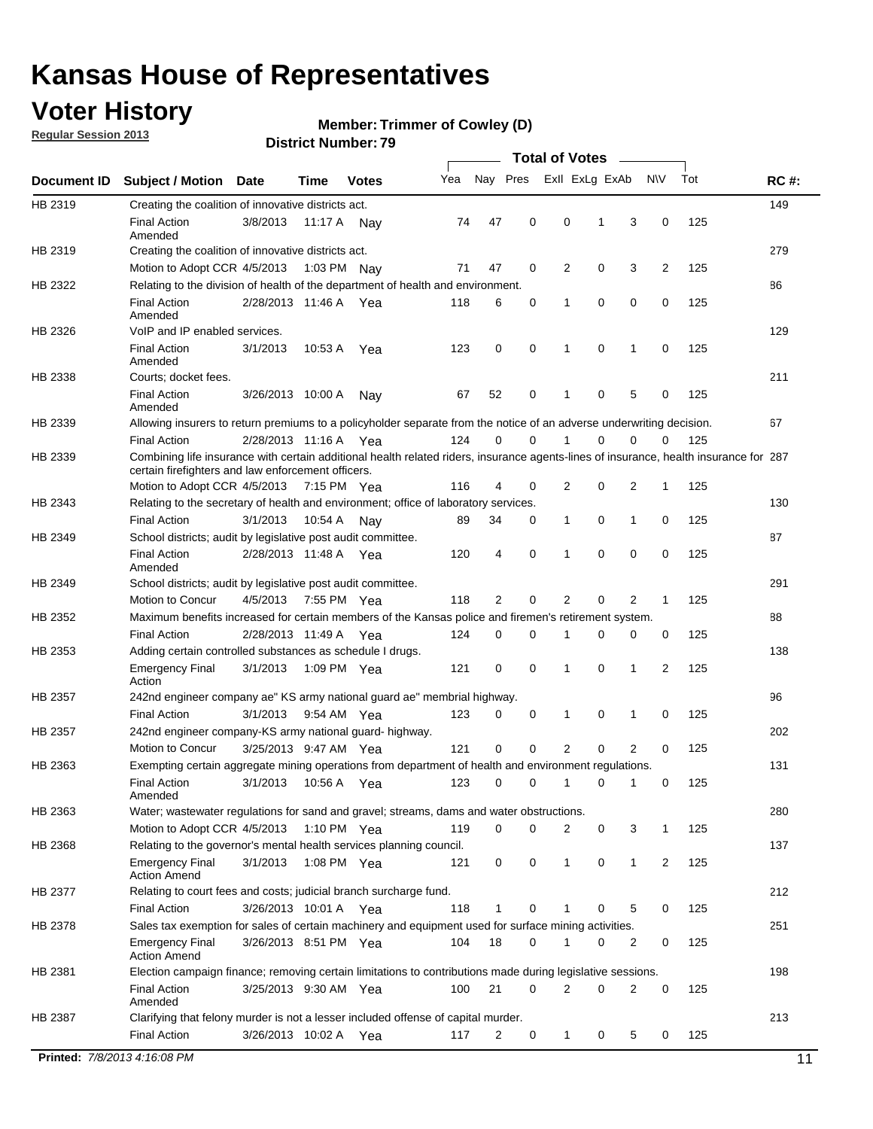## **Voter History**

**Regular Session 2013**

**Member: Trimmer of Cowley (D)** 

|             |                                                                                                                                                                                             |                       |             | ט ו ויטעווואר ויטווע |     |          |             | Total of Votes |             |                |                |     |             |
|-------------|---------------------------------------------------------------------------------------------------------------------------------------------------------------------------------------------|-----------------------|-------------|----------------------|-----|----------|-------------|----------------|-------------|----------------|----------------|-----|-------------|
| Document ID | <b>Subject / Motion Date</b>                                                                                                                                                                |                       | Time        | <b>Votes</b>         | Yea | Nay Pres |             | Exll ExLg ExAb |             |                | <b>NV</b>      | Tot | <b>RC#:</b> |
| HB 2319     | Creating the coalition of innovative districts act.                                                                                                                                         |                       |             |                      |     |          |             |                |             |                |                |     | 149         |
|             | <b>Final Action</b><br>Amended                                                                                                                                                              | 3/8/2013              | 11:17 A Nay |                      | 74  | 47       | 0           | $\mathbf 0$    | 1           | 3              | 0              | 125 |             |
| HB 2319     | Creating the coalition of innovative districts act.                                                                                                                                         |                       |             |                      |     |          |             |                |             |                |                |     | 279         |
|             | Motion to Adopt CCR 4/5/2013                                                                                                                                                                |                       | 1:03 PM Nay |                      | 71  | 47       | 0           | 2              | 0           | 3              | 2              | 125 |             |
| HB 2322     | Relating to the division of health of the department of health and environment.                                                                                                             |                       |             |                      |     |          |             |                |             |                |                |     | 86          |
|             | <b>Final Action</b><br>Amended                                                                                                                                                              | 2/28/2013 11:46 A     |             | Yea                  | 118 | 6        | 0           | 1              | 0           | 0              | 0              | 125 |             |
| HB 2326     | VoIP and IP enabled services.                                                                                                                                                               |                       |             |                      |     |          |             |                |             |                |                |     | 129         |
|             | <b>Final Action</b><br>Amended                                                                                                                                                              | 3/1/2013              | 10.53 A     | Yea                  | 123 | 0        | 0           | 1              | 0           | 1              | 0              | 125 |             |
| HB 2338     | Courts; docket fees.                                                                                                                                                                        |                       |             |                      |     |          |             |                |             |                |                |     | 211         |
|             | <b>Final Action</b><br>Amended                                                                                                                                                              | 3/26/2013 10:00 A     |             | Nav                  | 67  | 52       | 0           | $\mathbf{1}$   | 0           | 5              | 0              | 125 |             |
| HB 2339     | Allowing insurers to return premiums to a policyholder separate from the notice of an adverse underwriting decision.                                                                        |                       |             |                      |     |          |             |                |             |                |                |     | 67          |
|             | <b>Final Action</b>                                                                                                                                                                         | 2/28/2013 11:16 A     |             | Yea                  | 124 | 0        | 0           |                | 0           | 0              | 0              | 125 |             |
| HB 2339     | Combining life insurance with certain additional health related riders, insurance agents-lines of insurance, health insurance for 287<br>certain firefighters and law enforcement officers. |                       |             |                      |     |          |             |                |             |                |                |     |             |
|             | Motion to Adopt CCR 4/5/2013 7:15 PM Yea                                                                                                                                                    |                       |             |                      | 116 | 4        | 0           | 2              | 0           | 2              | 1              | 125 |             |
| HB 2343     | Relating to the secretary of health and environment; office of laboratory services.                                                                                                         |                       |             |                      |     |          |             |                |             |                |                |     | 130         |
|             | <b>Final Action</b>                                                                                                                                                                         | 3/1/2013              | 10:54 A     | Nav                  | 89  | 34       | 0           | 1              | 0           | 1              | 0              | 125 |             |
| HB 2349     | School districts; audit by legislative post audit committee.                                                                                                                                |                       |             |                      |     |          |             |                |             |                |                |     | 87          |
|             | <b>Final Action</b><br>Amended                                                                                                                                                              | 2/28/2013 11:48 A Yea |             |                      | 120 | 4        | 0           | 1              | 0           | 0              | 0              | 125 |             |
| HB 2349     | School districts; audit by legislative post audit committee.                                                                                                                                |                       |             |                      |     |          |             |                |             |                |                |     | 291         |
|             | Motion to Concur                                                                                                                                                                            | 4/5/2013              | 7:55 PM Yea |                      | 118 | 2        | 0           | $\overline{2}$ | 0           | 2              | 1              | 125 |             |
| HB 2352     | Maximum benefits increased for certain members of the Kansas police and firemen's retirement system.                                                                                        |                       |             |                      |     |          |             |                |             |                |                |     | 88          |
|             | <b>Final Action</b>                                                                                                                                                                         | 2/28/2013 11:49 A Yea |             |                      | 124 | 0        | 0           |                | 0           | 0              | 0              | 125 |             |
| HB 2353     | Adding certain controlled substances as schedule I drugs.                                                                                                                                   |                       |             |                      |     |          |             |                |             |                |                |     | 138         |
|             | <b>Emergency Final</b><br>Action                                                                                                                                                            | 3/1/2013              | 1:09 PM Yea |                      | 121 | 0        | $\mathbf 0$ | $\mathbf{1}$   | $\Omega$    | 1              | $\overline{2}$ | 125 |             |
| HB 2357     | 242nd engineer company ae" KS army national guard ae" membrial highway.                                                                                                                     |                       |             |                      |     |          |             |                |             |                |                |     | 96          |
|             | <b>Final Action</b>                                                                                                                                                                         | 3/1/2013              | 9:54 AM Yea |                      | 123 | 0        | 0           | 1              | 0           | 1              | 0              | 125 |             |
| HB 2357     | 242nd engineer company-KS army national guard- highway.                                                                                                                                     |                       |             |                      |     |          |             |                |             |                |                |     | 202         |
|             | Motion to Concur                                                                                                                                                                            | 3/25/2013 9:47 AM Yea |             |                      | 121 | 0        | 0           | 2              | 0           | $\overline{2}$ | 0              | 125 |             |
| HB 2363     | Exempting certain aggregate mining operations from department of health and environment regulations.                                                                                        |                       |             |                      |     |          |             |                |             |                |                |     | 131         |
|             | Amended                                                                                                                                                                                     |                       |             |                      |     |          |             |                |             |                |                | 125 |             |
| HB 2363     | Water; wastewater regulations for sand and gravel; streams, dams and water obstructions.                                                                                                    |                       |             |                      |     |          |             |                |             |                |                |     | 280         |
|             | Motion to Adopt CCR 4/5/2013                                                                                                                                                                |                       | 1:10 PM Yea |                      | 119 | 0        | 0           | $\overline{2}$ | $\mathbf 0$ | 3              | 1              | 125 |             |
| HB 2368     | Relating to the governor's mental health services planning council.                                                                                                                         |                       |             |                      |     |          |             |                |             |                |                |     | 137         |
|             | <b>Emergency Final</b><br><b>Action Amend</b>                                                                                                                                               | 3/1/2013              | 1:08 PM Yea |                      | 121 | 0        | $\mathbf 0$ | $\mathbf{1}$   | 0           | $\mathbf 1$    | $\overline{2}$ | 125 |             |
| HB 2377     | Relating to court fees and costs; judicial branch surcharge fund.                                                                                                                           |                       |             |                      |     |          |             |                |             |                |                |     | 212         |
|             | <b>Final Action</b>                                                                                                                                                                         | 3/26/2013 10:01 A Yea |             |                      | 118 | 1        | 0           |                | 0           | 5              | 0              | 125 |             |
| HB 2378     | Sales tax exemption for sales of certain machinery and equipment used for surface mining activities.                                                                                        |                       |             |                      |     |          |             |                |             |                |                |     | 251         |
|             | <b>Emergency Final</b><br><b>Action Amend</b>                                                                                                                                               | 3/26/2013 8:51 PM Yea |             |                      | 104 | 18       | 0           | 1              | 0           | 2              | 0              | 125 |             |
| HB 2381     | Election campaign finance; removing certain limitations to contributions made during legislative sessions.                                                                                  |                       |             |                      |     |          |             |                |             |                |                |     | 198         |
|             | <b>Final Action</b>                                                                                                                                                                         | 3/25/2013 9:30 AM Yea |             |                      | 100 | 21       | 0           | 2              | 0           | 2              | 0              | 125 |             |
|             | Amended                                                                                                                                                                                     |                       |             |                      |     |          |             |                |             |                |                |     |             |
| HB 2387     | Clarifying that felony murder is not a lesser included offense of capital murder.                                                                                                           |                       |             |                      |     |          |             |                |             |                |                |     | 213         |
|             | <b>Final Action</b>                                                                                                                                                                         | 3/26/2013 10:02 A Yea |             |                      | 117 | 2        | 0           | $\mathbf{1}$   | 0           | 5              | 0              | 125 |             |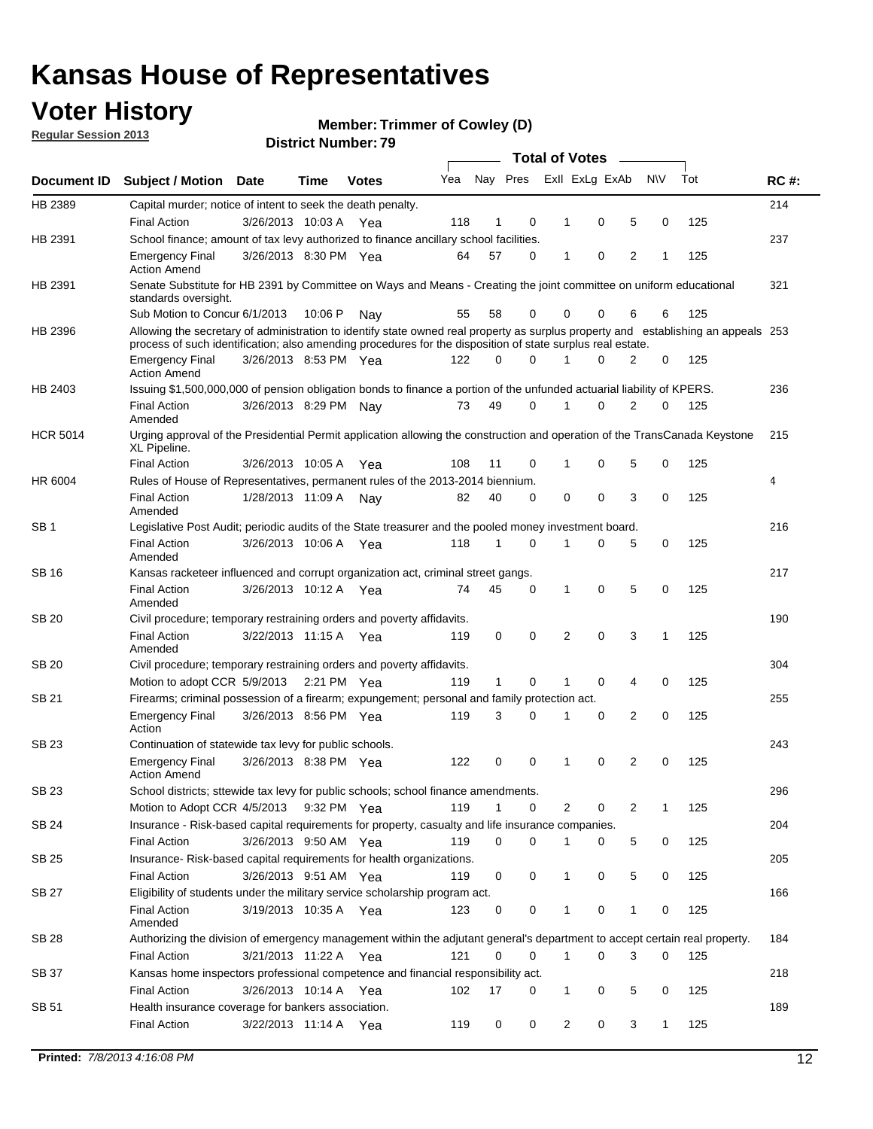## **Voter History**

**Member: Trimmer of Cowley (D)** 

**Regular Session 2013**

|                 |                                                                                                                                                                                                                                                  |                       |         | 3 ו . וסעווואר וטווע |     |              |             |              | <b>Total of Votes</b> | $\overline{\phantom{a}}$ |           |     |             |
|-----------------|--------------------------------------------------------------------------------------------------------------------------------------------------------------------------------------------------------------------------------------------------|-----------------------|---------|----------------------|-----|--------------|-------------|--------------|-----------------------|--------------------------|-----------|-----|-------------|
| Document ID     | <b>Subject / Motion Date</b>                                                                                                                                                                                                                     |                       | Time    | <b>Votes</b>         | Yea |              | Nay Pres    |              | Exll ExLg ExAb        |                          | <b>NV</b> | Tot | <b>RC#:</b> |
| HB 2389         | Capital murder; notice of intent to seek the death penalty.                                                                                                                                                                                      |                       |         |                      |     |              |             |              |                       |                          |           |     | 214         |
|                 | <b>Final Action</b>                                                                                                                                                                                                                              | 3/26/2013 10:03 A Yea |         |                      | 118 | 1            | 0           | 1            | 0                     | 5                        | 0         | 125 |             |
| HB 2391         | School finance; amount of tax levy authorized to finance ancillary school facilities.                                                                                                                                                            |                       |         |                      |     |              |             |              |                       |                          |           |     | 237         |
|                 | <b>Emergency Final</b><br><b>Action Amend</b>                                                                                                                                                                                                    | 3/26/2013 8:30 PM Yea |         |                      | 64  | 57           | $\Omega$    | 1            | 0                     | $\overline{2}$           | 1         | 125 |             |
| HB 2391         | Senate Substitute for HB 2391 by Committee on Ways and Means - Creating the joint committee on uniform educational<br>standards oversight.                                                                                                       |                       |         |                      |     |              |             |              |                       |                          |           |     | 321         |
|                 | Sub Motion to Concur 6/1/2013                                                                                                                                                                                                                    |                       | 10:06 P | Nav                  | 55  | 58           | 0           |              | 0<br>0                | 6                        | 6         | 125 |             |
| HB 2396         | Allowing the secretary of administration to identify state owned real property as surplus property and establishing an appeals 253<br>process of such identification; also amending procedures for the disposition of state surplus real estate. |                       |         |                      |     |              |             |              |                       |                          |           |     |             |
|                 | <b>Emergency Final</b><br><b>Action Amend</b>                                                                                                                                                                                                    | 3/26/2013 8:53 PM Yea |         |                      | 122 | 0            | $\Omega$    |              | $\Omega$              | 2                        | 0         | 125 |             |
| HB 2403         | Issuing \$1,500,000,000 of pension obligation bonds to finance a portion of the unfunded actuarial liability of KPERS.                                                                                                                           |                       |         |                      |     |              |             |              |                       |                          |           |     | 236         |
|                 | <b>Final Action</b><br>Amended                                                                                                                                                                                                                   | 3/26/2013 8:29 PM     |         | Nav                  | 73  | 49           | 0           | 1            | 0                     | $\overline{2}$           | 0         | 125 |             |
| <b>HCR 5014</b> | Urging approval of the Presidential Permit application allowing the construction and operation of the TransCanada Keystone<br>XL Pipeline.                                                                                                       |                       |         |                      |     |              |             |              |                       |                          |           |     | 215         |
|                 | <b>Final Action</b>                                                                                                                                                                                                                              | 3/26/2013 10:05 A     |         | Yea                  | 108 | 11           | 0           | 1            | 0                     | 5                        | 0         | 125 |             |
| HR 6004         | Rules of House of Representatives, permanent rules of the 2013-2014 biennium.                                                                                                                                                                    |                       |         |                      |     |              |             |              |                       |                          |           |     | 4           |
|                 | <b>Final Action</b><br>Amended                                                                                                                                                                                                                   | 1/28/2013 11:09 A     |         | Nay                  | 82  | 40           | 0           | 0            | 0                     | 3                        | 0         | 125 |             |
| SB <sub>1</sub> | Legislative Post Audit; periodic audits of the State treasurer and the pooled money investment board.                                                                                                                                            |                       |         |                      |     |              |             |              |                       |                          |           |     | 216         |
|                 | <b>Final Action</b><br>Amended                                                                                                                                                                                                                   | 3/26/2013 10:06 A     |         | Yea                  | 118 | 1            | $\Omega$    | 1            | 0                     | 5                        | 0         | 125 |             |
| SB 16           | Kansas racketeer influenced and corrupt organization act, criminal street gangs.                                                                                                                                                                 |                       |         |                      |     |              |             |              |                       |                          |           |     | 217         |
|                 | <b>Final Action</b><br>Amended                                                                                                                                                                                                                   | 3/26/2013 10:12 A Yea |         |                      | 74  | 45           | 0           | 1            | 0                     | 5                        | 0         | 125 |             |
| <b>SB 20</b>    | Civil procedure; temporary restraining orders and poverty affidavits.                                                                                                                                                                            |                       |         |                      |     |              |             |              |                       |                          |           |     | 190         |
|                 | <b>Final Action</b><br>Amended                                                                                                                                                                                                                   | 3/22/2013 11:15 A     |         | Yea                  | 119 | 0            | 0           | 2            | $\Omega$              | 3                        | 1         | 125 |             |
| SB 20           | Civil procedure; temporary restraining orders and poverty affidavits.                                                                                                                                                                            |                       |         |                      |     |              |             |              |                       |                          |           |     | 304         |
|                 | Motion to adopt CCR 5/9/2013                                                                                                                                                                                                                     |                       |         | 2:21 PM Yea          | 119 | $\mathbf{1}$ | 0           | 1            | 0                     | 4                        | 0         | 125 |             |
| SB 21           | Firearms; criminal possession of a firearm; expungement; personal and family protection act.                                                                                                                                                     |                       |         |                      |     |              |             |              |                       |                          |           |     | 255         |
|                 | <b>Emergency Final</b><br>Action                                                                                                                                                                                                                 | 3/26/2013 8:56 PM Yea |         |                      | 119 | 3            | $\Omega$    | 1            | 0                     | 2                        | 0         | 125 |             |
| <b>SB 23</b>    | Continuation of statewide tax levy for public schools.                                                                                                                                                                                           |                       |         |                      |     |              |             |              |                       |                          |           |     | 243         |
|                 | <b>Emergency Final</b><br><b>Action Amend</b>                                                                                                                                                                                                    | 3/26/2013 8:38 PM Yea |         |                      | 122 | 0            | 0           | 1            | 0                     | 2                        | 0         | 125 |             |
| SB 23           | School districts; sttewide tax levy for public schools; school finance amendments.                                                                                                                                                               |                       |         |                      |     |              |             |              |                       |                          |           |     | 296         |
|                 | Motion to Adopt CCR 4/5/2013                                                                                                                                                                                                                     |                       |         | 9:32 PM Yea          | 119 | 1            | 0           |              | 2<br>0                | 2                        | 1         | 125 |             |
| <b>SB 24</b>    | Insurance - Risk-based capital requirements for property, casualty and life insurance companies.                                                                                                                                                 |                       |         |                      |     |              |             |              |                       |                          |           |     | 204         |
|                 | Final Action                                                                                                                                                                                                                                     | 3/26/2013 9:50 AM Yea |         |                      | 119 | 0            | 0           | 1            | 0                     | 5                        | 0         | 125 |             |
| <b>SB 25</b>    | Insurance-Risk-based capital requirements for health organizations.                                                                                                                                                                              |                       |         |                      |     |              |             |              |                       |                          |           |     | 205         |
|                 | Final Action                                                                                                                                                                                                                                     | 3/26/2013 9:51 AM Yea |         |                      | 119 | 0            | 0           | 1            | 0                     | 5                        | 0         | 125 |             |
| <b>SB 27</b>    | Eligibility of students under the military service scholarship program act.                                                                                                                                                                      |                       |         |                      |     |              |             |              |                       |                          |           |     | 166         |
|                 | <b>Final Action</b><br>Amended                                                                                                                                                                                                                   | 3/19/2013 10:35 A Yea |         |                      | 123 | 0            | 0           |              | 0                     | 1                        | 0         | 125 |             |
| SB 28           | Authorizing the division of emergency management within the adjutant general's department to accept certain real property.                                                                                                                       |                       |         |                      |     |              |             |              |                       |                          |           |     | 184         |
|                 | <b>Final Action</b>                                                                                                                                                                                                                              | 3/21/2013 11:22 A Yea |         |                      | 121 | 0            | $\mathbf 0$ | $\mathbf{1}$ | 0                     | 3                        | 0         | 125 |             |
| SB 37           | Kansas home inspectors professional competence and financial responsibility act.                                                                                                                                                                 |                       |         |                      |     |              |             |              |                       |                          |           |     | 218         |
|                 | <b>Final Action</b>                                                                                                                                                                                                                              | 3/26/2013 10:14 A Yea |         |                      | 102 | 17           | 0           |              | 1<br>0                | 5                        | 0         | 125 |             |
| SB 51           | Health insurance coverage for bankers association.                                                                                                                                                                                               |                       |         |                      |     |              |             |              |                       |                          |           |     | 189         |
|                 | Final Action                                                                                                                                                                                                                                     | 3/22/2013 11:14 A Yea |         |                      | 119 | 0            | 0           |              | 2<br>0                | 3                        | 1         | 125 |             |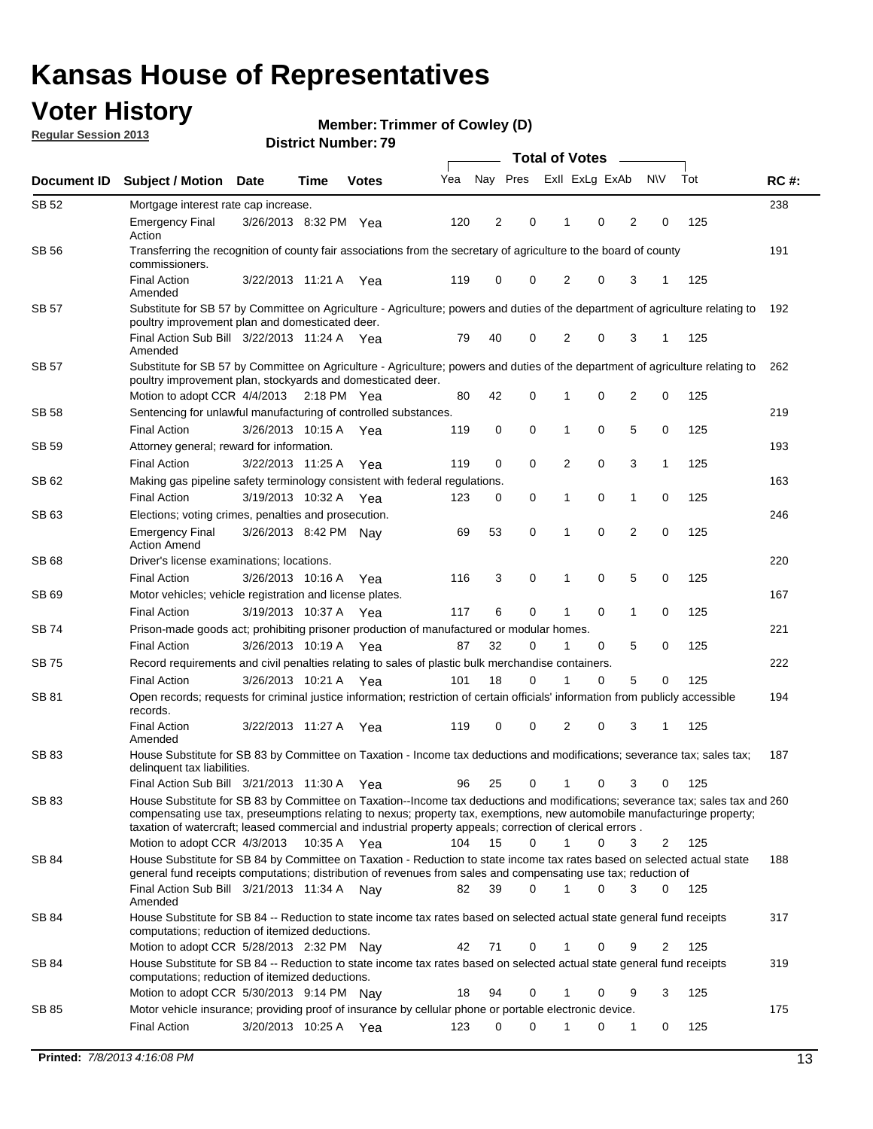## **Voter History**

**Member: Trimmer of Cowley (D)** 

**Regular Session 2013**

|              |                                                                                                                                                                                                                                                                                                                                                                                                         |                       | <b>Total of Votes</b><br>$\frac{1}{2}$ |              |     |          |             |                |   |                |           |     |             |
|--------------|---------------------------------------------------------------------------------------------------------------------------------------------------------------------------------------------------------------------------------------------------------------------------------------------------------------------------------------------------------------------------------------------------------|-----------------------|----------------------------------------|--------------|-----|----------|-------------|----------------|---|----------------|-----------|-----|-------------|
| Document ID  | <b>Subject / Motion Date</b>                                                                                                                                                                                                                                                                                                                                                                            |                       | Time                                   | <b>Votes</b> | Yea | Nay Pres |             | Exll ExLg ExAb |   |                | <b>NV</b> | Tot | <b>RC#:</b> |
| SB 52        | Mortgage interest rate cap increase.                                                                                                                                                                                                                                                                                                                                                                    |                       |                                        |              |     |          |             |                |   |                |           |     | 238         |
|              | <b>Emergency Final</b><br>Action                                                                                                                                                                                                                                                                                                                                                                        | 3/26/2013 8:32 PM Yea |                                        |              | 120 | 2        | 0           | 1              | 0 | 2              | 0         | 125 |             |
| <b>SB 56</b> | Transferring the recognition of county fair associations from the secretary of agriculture to the board of county<br>commissioners.                                                                                                                                                                                                                                                                     |                       |                                        |              |     |          |             |                |   |                |           |     |             |
|              | <b>Final Action</b><br>Amended                                                                                                                                                                                                                                                                                                                                                                          | 3/22/2013 11:21 A     |                                        | Yea          | 119 | 0        | 0           | 2              | 0 | 3              | 1         | 125 |             |
| <b>SB 57</b> | Substitute for SB 57 by Committee on Agriculture - Agriculture; powers and duties of the department of agriculture relating to<br>poultry improvement plan and domesticated deer.                                                                                                                                                                                                                       |                       |                                        |              |     |          |             |                |   |                |           |     | 192         |
|              | Final Action Sub Bill 3/22/2013 11:24 A Yea<br>Amended                                                                                                                                                                                                                                                                                                                                                  |                       |                                        |              | 79  | 40       | 0           | 2              | 0 | 3              | 1         | 125 |             |
| <b>SB 57</b> | Substitute for SB 57 by Committee on Agriculture - Agriculture; powers and duties of the department of agriculture relating to<br>poultry improvement plan, stockyards and domesticated deer.                                                                                                                                                                                                           |                       |                                        |              |     |          |             |                |   |                |           |     | 262         |
|              | Motion to adopt CCR 4/4/2013                                                                                                                                                                                                                                                                                                                                                                            |                       | $2:18$ PM Yea                          |              | 80  | 42       | 0           |                | 0 | 2              | 0         | 125 |             |
| SB 58        | Sentencing for unlawful manufacturing of controlled substances.                                                                                                                                                                                                                                                                                                                                         |                       |                                        |              |     |          |             |                |   |                |           |     | 219         |
|              | <b>Final Action</b>                                                                                                                                                                                                                                                                                                                                                                                     | 3/26/2013 10:15 A     |                                        | Yea          | 119 | 0        | 0           | 1              | 0 | 5              | 0         | 125 |             |
| <b>SB 59</b> | Attorney general; reward for information.                                                                                                                                                                                                                                                                                                                                                               |                       |                                        |              |     |          |             |                |   |                |           |     | 193         |
|              | <b>Final Action</b>                                                                                                                                                                                                                                                                                                                                                                                     | 3/22/2013 11:25 A     |                                        | Yea          | 119 | 0        | $\mathbf 0$ | 2              | 0 | 3              | 1         | 125 |             |
| SB 62        | Making gas pipeline safety terminology consistent with federal regulations.                                                                                                                                                                                                                                                                                                                             |                       |                                        |              |     |          |             |                |   |                |           |     | 163         |
|              | <b>Final Action</b>                                                                                                                                                                                                                                                                                                                                                                                     | 3/19/2013 10:32 A     |                                        | Yea          | 123 | 0        | 0           | 1              | 0 | 1              | 0         | 125 |             |
| SB 63        | Elections; voting crimes, penalties and prosecution.                                                                                                                                                                                                                                                                                                                                                    |                       |                                        |              |     |          |             |                |   |                |           |     | 246         |
|              | <b>Emergency Final</b><br><b>Action Amend</b>                                                                                                                                                                                                                                                                                                                                                           | 3/26/2013 8:42 PM Nay |                                        |              | 69  | 53       | 0           | 1              | 0 | $\overline{2}$ | 0         | 125 |             |
| SB 68        | Driver's license examinations; locations.                                                                                                                                                                                                                                                                                                                                                               |                       |                                        |              |     |          |             |                |   |                |           |     | 220         |
|              | <b>Final Action</b>                                                                                                                                                                                                                                                                                                                                                                                     | 3/26/2013 10:16 A     |                                        | Yea          | 116 | 3        | 0           | 1              | 0 | 5              | 0         | 125 |             |
| SB 69        | Motor vehicles; vehicle registration and license plates.                                                                                                                                                                                                                                                                                                                                                | 3/19/2013 10:37 A     |                                        |              | 117 | 6        | 0           | 1              | 0 | 1              | 0         | 125 | 167         |
| SB 74        | <b>Final Action</b>                                                                                                                                                                                                                                                                                                                                                                                     |                       |                                        | Yea          |     |          |             |                |   |                |           |     | 221         |
|              | Prison-made goods act; prohibiting prisoner production of manufactured or modular homes.<br><b>Final Action</b>                                                                                                                                                                                                                                                                                         | 3/26/2013 10:19 A     |                                        |              | 87  | 32       | 0           | 1              | 0 | 5              | 0         | 125 |             |
| SB 75        | Record requirements and civil penalties relating to sales of plastic bulk merchandise containers.                                                                                                                                                                                                                                                                                                       |                       |                                        | Yea          |     |          |             |                |   |                |           |     | 222         |
|              | <b>Final Action</b>                                                                                                                                                                                                                                                                                                                                                                                     | 3/26/2013 10:21 A     |                                        | Yea          | 101 | 18       | 0           |                | 0 | 5              | 0         | 125 |             |
| SB 81        | Open records; requests for criminal justice information; restriction of certain officials' information from publicly accessible                                                                                                                                                                                                                                                                         |                       |                                        |              |     |          |             |                |   |                |           |     | 194         |
|              | records.<br><b>Final Action</b>                                                                                                                                                                                                                                                                                                                                                                         | 3/22/2013 11:27 A     |                                        | Yea          | 119 | 0        | 0           | 2              | 0 | 3              | 1         | 125 |             |
|              | Amended                                                                                                                                                                                                                                                                                                                                                                                                 |                       |                                        |              |     |          |             |                |   |                |           |     |             |
| SB 83        | House Substitute for SB 83 by Committee on Taxation - Income tax deductions and modifications; severance tax; sales tax;<br>delinquent tax liabilities.                                                                                                                                                                                                                                                 |                       |                                        |              |     |          |             |                |   |                |           |     | 187         |
|              | Final Action Sub Bill 3/21/2013 11:30 A                                                                                                                                                                                                                                                                                                                                                                 |                       |                                        | Yea          | 96  | 25       | 0           | 1              | 0 | 3              | 0         | 125 |             |
| SB 83        | House Substitute for SB 83 by Committee on Taxation--Income tax deductions and modifications; severance tax; sales tax and 260<br>compensating use tax, preseumptions relating to nexus; property tax, exemptions, new automobile manufacturinge property;<br>taxation of watercraft; leased commercial and industrial property appeals; correction of clerical errors.<br>Motion to adopt CCR 4/3/2013 |                       |                                        |              | 104 | 15       | $\Omega$    | $\mathbf 1$    | 0 | 3              |           | 125 |             |
| SB 84        | House Substitute for SB 84 by Committee on Taxation - Reduction to state income tax rates based on selected actual state                                                                                                                                                                                                                                                                                |                       | 10:35 A Yea                            |              |     |          |             |                |   |                | 2         |     | 188         |
|              | general fund receipts computations; distribution of revenues from sales and compensating use tax; reduction of<br>Final Action Sub Bill 3/21/2013 11:34 A Nay                                                                                                                                                                                                                                           |                       |                                        |              | 82  | 39       | $\Omega$    |                | 0 | 3              | $\Omega$  | 125 |             |
|              | Amended                                                                                                                                                                                                                                                                                                                                                                                                 |                       |                                        |              |     |          |             |                |   |                |           |     |             |
| SB 84        | House Substitute for SB 84 -- Reduction to state income tax rates based on selected actual state general fund receipts<br>computations; reduction of itemized deductions.                                                                                                                                                                                                                               |                       |                                        |              |     |          |             |                |   |                |           |     | 317         |
|              | Motion to adopt CCR 5/28/2013 2:32 PM Nay                                                                                                                                                                                                                                                                                                                                                               |                       |                                        |              | 42  | 71       | 0           |                | 0 | 9              | 2         | 125 |             |
| SB 84        | House Substitute for SB 84 -- Reduction to state income tax rates based on selected actual state general fund receipts<br>computations; reduction of itemized deductions.                                                                                                                                                                                                                               |                       |                                        |              |     |          |             |                |   |                |           |     | 319         |
|              | Motion to adopt CCR 5/30/2013 9:14 PM Nav                                                                                                                                                                                                                                                                                                                                                               |                       |                                        |              | 18  | 94       | 0           |                | 0 | 9              | 3         | 125 |             |
| SB 85        | Motor vehicle insurance; providing proof of insurance by cellular phone or portable electronic device.                                                                                                                                                                                                                                                                                                  |                       |                                        |              |     |          |             |                |   |                |           |     | 175         |
|              | <b>Final Action</b>                                                                                                                                                                                                                                                                                                                                                                                     | 3/20/2013 10:25 A Yea |                                        |              | 123 | 0        | $\Omega$    |                | 0 | 1              | 0         | 125 |             |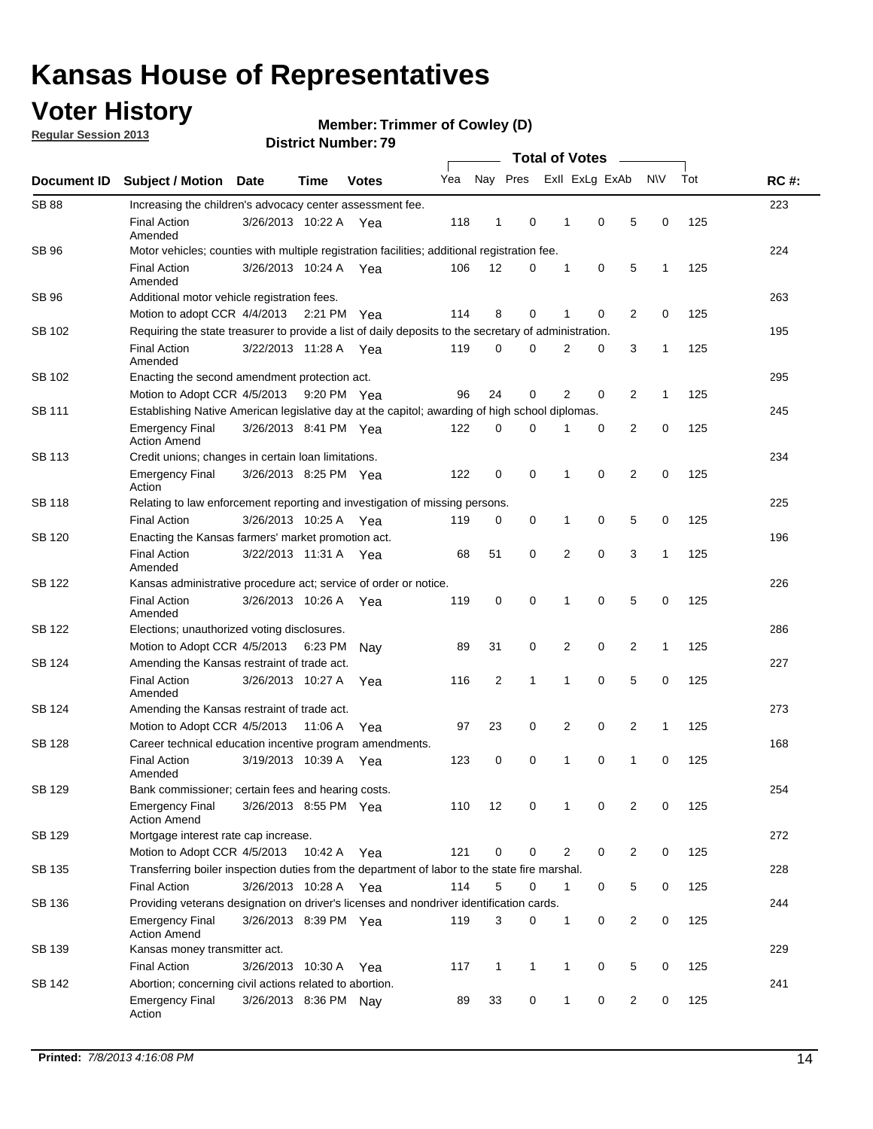## **Voter History**

**Regular Session 2013**

**Member: Trimmer of Cowley (D)** 

|                    |                                                                                                       |                       |             | มาจน เงเ เงนเเเม <del>ต</del> เ . <i>เ ง</i> | <b>Total of Votes</b> |              |              |  |                |                |                |              |     |             |
|--------------------|-------------------------------------------------------------------------------------------------------|-----------------------|-------------|----------------------------------------------|-----------------------|--------------|--------------|--|----------------|----------------|----------------|--------------|-----|-------------|
| <b>Document ID</b> | <b>Subject / Motion</b>                                                                               | <b>Date</b>           | <b>Time</b> | <b>Votes</b>                                 | Yea                   |              | Nay Pres     |  |                | Exll ExLg ExAb |                | <b>NV</b>    | Tot | <b>RC#:</b> |
| <b>SB 88</b>       | Increasing the children's advocacy center assessment fee.                                             |                       |             |                                              |                       |              |              |  |                |                |                |              |     | 223         |
|                    | <b>Final Action</b><br>Amended                                                                        | 3/26/2013 10:22 A Yea |             |                                              | 118                   | $\mathbf{1}$ | 0            |  | $\mathbf 1$    | 0              | 5              | 0            | 125 |             |
| SB 96              | Motor vehicles; counties with multiple registration facilities; additional registration fee.          |                       |             |                                              |                       |              |              |  |                |                |                |              |     | 224         |
|                    | <b>Final Action</b><br>Amended                                                                        | 3/26/2013 10:24 A     |             | Yea                                          | 106                   | 12           | 0            |  | 1              | 0              | 5              | 1            | 125 |             |
| SB 96              | Additional motor vehicle registration fees.                                                           |                       |             |                                              |                       |              |              |  |                |                |                |              |     | 263         |
|                    | Motion to adopt CCR 4/4/2013                                                                          |                       | 2:21 PM Yea |                                              | 114                   | 8            | 0            |  | 1              | 0              | $\overline{2}$ | 0            | 125 |             |
| SB 102             | Requiring the state treasurer to provide a list of daily deposits to the secretary of administration. |                       |             |                                              |                       |              |              |  |                |                |                |              |     | 195         |
|                    | <b>Final Action</b><br>Amended                                                                        | 3/22/2013 11:28 A     |             | Yea                                          | 119                   | 0            | 0            |  | 2              | 0              | 3              | 1            | 125 |             |
| SB 102             | Enacting the second amendment protection act.                                                         |                       |             |                                              |                       |              |              |  |                |                |                |              |     | 295         |
|                    | Motion to Adopt CCR 4/5/2013                                                                          |                       | 9:20 PM Yea |                                              | 96                    | 24           | 0            |  | $\overline{2}$ | 0              | $\overline{2}$ | 1            | 125 |             |
| SB 111             | Establishing Native American legislative day at the capitol; awarding of high school diplomas.        |                       |             |                                              |                       |              |              |  |                |                |                |              |     | 245         |
|                    | <b>Emergency Final</b><br><b>Action Amend</b>                                                         | 3/26/2013 8:41 PM Yea |             |                                              | 122                   | 0            | $\Omega$     |  |                | 0              | 2              | 0            | 125 |             |
| SB 113             | Credit unions; changes in certain loan limitations.                                                   |                       |             |                                              |                       |              |              |  |                |                |                |              |     | 234         |
|                    | <b>Emergency Final</b><br>Action                                                                      | 3/26/2013 8:25 PM Yea |             |                                              | 122                   | 0            | 0            |  | 1              | $\mathbf 0$    | $\overline{2}$ | $\mathbf 0$  | 125 |             |
| <b>SB 118</b>      | Relating to law enforcement reporting and investigation of missing persons.                           |                       |             |                                              |                       |              |              |  |                |                |                |              |     | 225         |
|                    | <b>Final Action</b>                                                                                   | 3/26/2013 10:25 A     |             | Yea                                          | 119                   | 0            | 0            |  | 1              | 0              | 5              | 0            | 125 |             |
| SB 120             | Enacting the Kansas farmers' market promotion act.                                                    |                       |             |                                              |                       |              |              |  |                |                |                |              |     | 196         |
|                    | <b>Final Action</b><br>Amended                                                                        | 3/22/2013 11:31 A Yea |             |                                              | 68                    | 51           | 0            |  | 2              | $\mathbf 0$    | 3              | 1            | 125 |             |
| SB 122             | Kansas administrative procedure act; service of order or notice.                                      |                       |             |                                              |                       |              |              |  |                |                | 226            |              |     |             |
|                    | <b>Final Action</b><br>Amended                                                                        | 3/26/2013 10:26 A     |             | Yea                                          | 119                   | 0            | 0            |  | 1              | 0              | 5              | 0            | 125 |             |
| SB 122             | Elections; unauthorized voting disclosures.                                                           |                       |             |                                              |                       |              |              |  |                |                | 286            |              |     |             |
|                    | Motion to Adopt CCR 4/5/2013                                                                          |                       | 6:23 PM     | Nav                                          | 89                    | 31           | 0            |  | 2              | 0              | $\overline{2}$ | $\mathbf{1}$ | 125 |             |
| SB 124             | Amending the Kansas restraint of trade act.                                                           |                       |             |                                              |                       |              |              |  |                |                |                |              |     | 227         |
|                    | <b>Final Action</b><br>Amended                                                                        | 3/26/2013 10:27 A     |             | Yea                                          | 116                   | 2            | 1            |  | 1              | $\mathbf 0$    | 5              | $\mathbf 0$  | 125 |             |
| SB 124             | Amending the Kansas restraint of trade act.                                                           |                       |             |                                              |                       |              |              |  |                |                |                |              |     | 273         |
|                    | Motion to Adopt CCR 4/5/2013                                                                          |                       | 11:06 A     | Yea                                          | 97                    | 23           | 0            |  | 2              | 0              | $\overline{2}$ | 1            | 125 |             |
| SB 128             | Career technical education incentive program amendments.                                              |                       |             |                                              |                       |              |              |  |                |                |                |              |     | 168         |
|                    | <b>Final Action</b><br>Amended                                                                        | 3/19/2013 10:39 A     |             | Yea                                          | 123                   | 0            | 0            |  | 1              | 0              | 1              | 0            | 125 |             |
| SB 129             | Bank commissioner; certain fees and hearing costs.                                                    |                       |             |                                              |                       |              |              |  |                |                |                |              |     | 254         |
|                    | <b>Emergency Final</b><br><b>Action Amend</b>                                                         | 3/26/2013 8:55 PM Yea |             |                                              | 110                   | 12           | 0            |  | 1              | 0              | 2              | 0            | 125 |             |
| SB 129             | Mortgage interest rate cap increase.                                                                  |                       |             |                                              |                       |              |              |  |                |                |                |              |     | 272         |
|                    | Motion to Adopt CCR 4/5/2013                                                                          |                       | 10:42 A Yea |                                              | 121                   | 0            | 0            |  | 2              | 0              | $\overline{2}$ | 0            | 125 |             |
| SB 135             | Transferring boiler inspection duties from the department of labor to the state fire marshal.         |                       |             |                                              |                       |              |              |  |                |                |                |              |     | 228         |
|                    | <b>Final Action</b>                                                                                   | 3/26/2013 10:28 A Yea |             |                                              | 114                   | 5            | 0            |  | $\mathbf{1}$   | 0              | 5              | 0            | 125 |             |
| SB 136             | Providing veterans designation on driver's licenses and nondriver identification cards.               |                       |             |                                              |                       |              |              |  |                |                |                |              |     | 244         |
|                    | <b>Emergency Final</b><br><b>Action Amend</b>                                                         | 3/26/2013 8:39 PM Yea |             |                                              | 119                   | 3            | 0            |  | $\mathbf{1}$   | 0              | $\overline{2}$ | 0            | 125 |             |
| SB 139             | Kansas money transmitter act.                                                                         |                       |             |                                              |                       |              |              |  |                |                |                |              |     | 229         |
|                    | <b>Final Action</b>                                                                                   | 3/26/2013 10:30 A Yea |             |                                              | 117                   | $\mathbf{1}$ | $\mathbf{1}$ |  | $\mathbf{1}$   | 0              | 5              | 0            | 125 |             |
| SB 142             | Abortion; concerning civil actions related to abortion.                                               |                       |             |                                              |                       |              |              |  |                |                |                |              |     | 241         |
|                    | <b>Emergency Final</b><br>Action                                                                      | 3/26/2013 8:36 PM Nay |             |                                              | 89                    | 33           | 0            |  | 1              | 0              | $\overline{2}$ | 0            | 125 |             |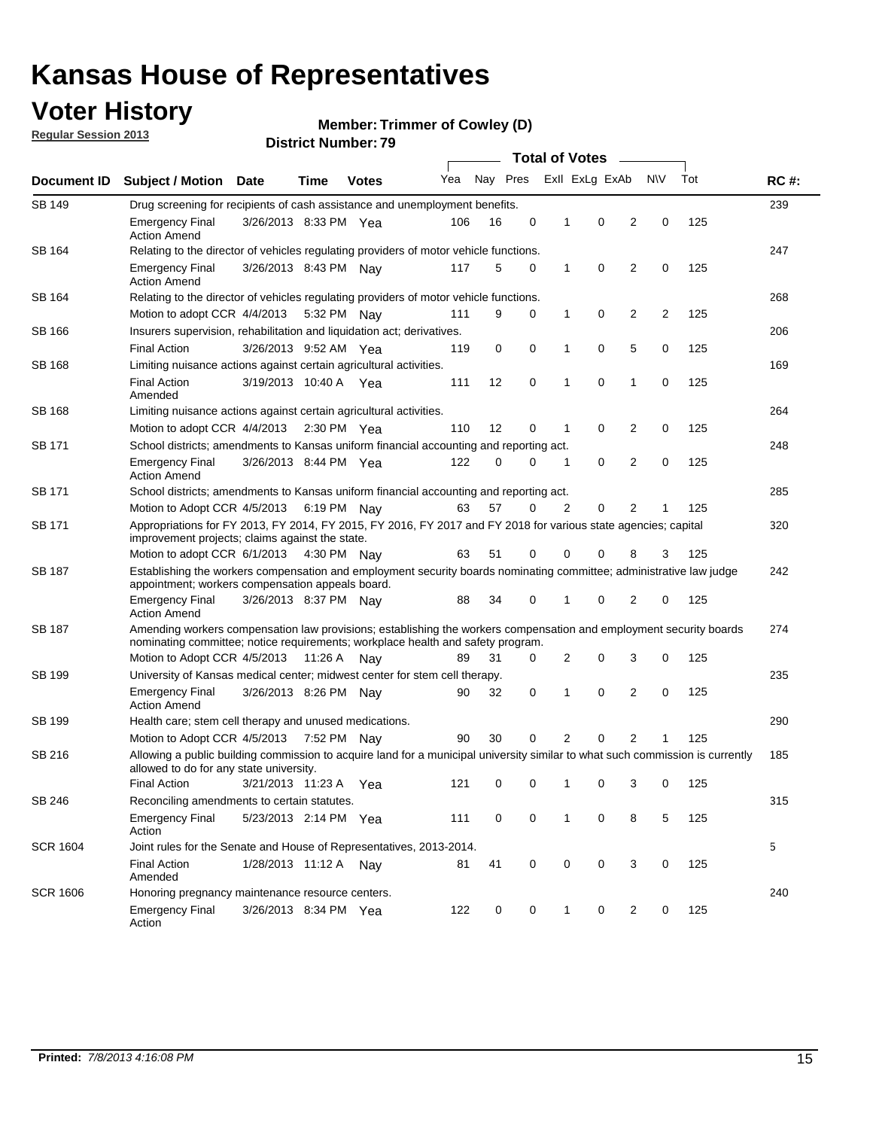## **Voter History**

**Regular Session 2013**

**Member: Trimmer of Cowley (D)** 

|                 |                                                                                                                                                                                                       |                                                                                        |             |              |     |          | <b>Total of Votes</b> |              |                |                |     |     |             |
|-----------------|-------------------------------------------------------------------------------------------------------------------------------------------------------------------------------------------------------|----------------------------------------------------------------------------------------|-------------|--------------|-----|----------|-----------------------|--------------|----------------|----------------|-----|-----|-------------|
| Document ID     | <b>Subject / Motion</b>                                                                                                                                                                               | Date                                                                                   | Time        | <b>Votes</b> | Yea | Nay Pres |                       |              | Exll ExLg ExAb |                | N\V | Tot | <b>RC#:</b> |
| <b>SB 149</b>   | Drug screening for recipients of cash assistance and unemployment benefits.                                                                                                                           |                                                                                        |             |              |     |          |                       |              |                |                |     |     |             |
|                 | <b>Emergency Final</b><br><b>Action Amend</b>                                                                                                                                                         | 3/26/2013 8:33 PM Yea                                                                  |             |              | 106 | 16       | 0                     | 1            | 0              | 2              | 0   | 125 |             |
| SB 164          | Relating to the director of vehicles regulating providers of motor vehicle functions.                                                                                                                 |                                                                                        |             |              |     |          |                       |              |                |                |     |     | 247         |
|                 | <b>Emergency Final</b><br><b>Action Amend</b>                                                                                                                                                         | 3/26/2013 8:43 PM Nay                                                                  |             |              | 117 | 5        | 0                     | 1            | 0              | 2              | 0   | 125 |             |
| SB 164          | Relating to the director of vehicles regulating providers of motor vehicle functions.                                                                                                                 |                                                                                        |             |              |     |          |                       |              |                |                |     |     | 268         |
|                 | Motion to adopt CCR 4/4/2013 5:32 PM Nav                                                                                                                                                              |                                                                                        |             |              | 111 | 9        | 0                     | $\mathbf{1}$ | 0              | 2              | 2   | 125 |             |
| SB 166          | Insurers supervision, rehabilitation and liquidation act; derivatives.                                                                                                                                |                                                                                        |             |              |     |          |                       |              |                |                |     | 206 |             |
|                 | <b>Final Action</b>                                                                                                                                                                                   | 0<br>0<br>0<br>5<br>0<br>125<br>3/26/2013 9:52 AM Yea<br>119<br>1                      |             |              |     |          |                       |              |                |                |     |     |             |
| <b>SB 168</b>   | Limiting nuisance actions against certain agricultural activities.                                                                                                                                    |                                                                                        |             |              |     |          |                       |              |                |                |     |     | 169         |
|                 | <b>Final Action</b><br>Amended                                                                                                                                                                        | 3/19/2013 10:40 A Yea                                                                  |             |              | 111 | 12       | 0                     | 1            | $\mathbf 0$    | 1              | 0   | 125 |             |
| SB 168          | Limiting nuisance actions against certain agricultural activities.                                                                                                                                    |                                                                                        |             |              |     |          |                       |              |                |                |     |     | 264         |
|                 | Motion to adopt CCR 4/4/2013                                                                                                                                                                          |                                                                                        | 2:30 PM Yea |              | 110 | 12       | 0                     | 1            | 0              | 2              | 0   | 125 |             |
| SB 171          |                                                                                                                                                                                                       | School districts; amendments to Kansas uniform financial accounting and reporting act. |             |              |     |          |                       |              |                |                |     | 248 |             |
|                 | <b>Emergency Final</b><br><b>Action Amend</b>                                                                                                                                                         | 3/26/2013 8:44 PM Yea                                                                  |             |              | 122 | 0        | 0                     | 1            | 0              | 2              | 0   | 125 |             |
| SB 171          | School districts; amendments to Kansas uniform financial accounting and reporting act.                                                                                                                |                                                                                        |             |              |     |          |                       |              |                |                |     | 285 |             |
|                 | Motion to Adopt CCR 4/5/2013 6:19 PM Nav                                                                                                                                                              |                                                                                        |             |              | 63  | 57       | 0                     | 2            | 0              | 2              | 1   | 125 |             |
| SB 171          | Appropriations for FY 2013, FY 2014, FY 2015, FY 2016, FY 2017 and FY 2018 for various state agencies; capital<br>improvement projects; claims against the state.                                     |                                                                                        |             |              |     |          |                       |              |                |                | 320 |     |             |
|                 | Motion to adopt CCR 6/1/2013 4:30 PM Nay                                                                                                                                                              |                                                                                        |             |              | 63  | 51       | 0                     | 0            | 0              | 8              | 3   | 125 |             |
| SB 187          | Establishing the workers compensation and employment security boards nominating committee; administrative law judge<br>appointment; workers compensation appeals board.                               |                                                                                        |             |              |     |          |                       |              |                |                |     | 242 |             |
|                 | <b>Emergency Final</b><br><b>Action Amend</b>                                                                                                                                                         | 3/26/2013 8:37 PM Nay                                                                  |             |              | 88  | 34       | 0                     | 1            | 0              | 2              | 0   | 125 |             |
| SB 187          | Amending workers compensation law provisions; establishing the workers compensation and employment security boards<br>nominating committee; notice requirements; workplace health and safety program. |                                                                                        |             |              |     |          |                       |              |                |                |     |     | 274         |
|                 | Motion to Adopt CCR 4/5/2013 11:26 A Nav                                                                                                                                                              |                                                                                        |             |              | 89  | 31       | 0                     | 2            | 0              | 3              | 0   | 125 |             |
| SB 199          | University of Kansas medical center; midwest center for stem cell therapy.                                                                                                                            |                                                                                        |             |              |     |          |                       |              |                |                |     |     | 235         |
|                 | <b>Emergency Final</b><br><b>Action Amend</b>                                                                                                                                                         | 3/26/2013 8:26 PM Nav                                                                  |             |              | 90  | 32       | 0                     | 1            | 0              | 2              | 0   | 125 |             |
| SB 199          | Health care; stem cell therapy and unused medications.                                                                                                                                                |                                                                                        |             |              |     |          |                       |              |                |                |     |     | 290         |
|                 | Motion to Adopt CCR 4/5/2013 7:52 PM Nay                                                                                                                                                              |                                                                                        |             |              | 90  | 30       | 0                     | 2            | 0              | $\overline{2}$ | 1   | 125 |             |
| SB 216          | Allowing a public building commission to acquire land for a municipal university similar to what such commission is currently<br>allowed to do for any state university.                              |                                                                                        |             |              |     |          |                       |              |                |                |     |     | 185         |
|                 | <b>Final Action</b>                                                                                                                                                                                   | 3/21/2013 11:23 A                                                                      |             | Yea          | 121 | 0        | 0                     | 1            | 0              | 3              | 0   | 125 |             |
| <b>SB 246</b>   | Reconciling amendments to certain statutes.                                                                                                                                                           |                                                                                        |             |              |     |          |                       |              |                |                |     |     | 315         |
|                 | <b>Emergency Final</b><br>Action                                                                                                                                                                      | 5/23/2013 2:14 PM Yea                                                                  |             |              | 111 | 0        | 0                     | 1            | 0              | 8              | 5   | 125 |             |
| <b>SCR 1604</b> | Joint rules for the Senate and House of Representatives, 2013-2014.                                                                                                                                   |                                                                                        |             |              |     |          |                       |              |                |                |     |     | 5           |
|                 | <b>Final Action</b><br>Amended                                                                                                                                                                        | 1/28/2013 11:12 A Nay                                                                  |             |              | 81  | 41       | 0                     | 0            | 0              | 3              | 0   | 125 |             |
| <b>SCR 1606</b> | Honoring pregnancy maintenance resource centers.                                                                                                                                                      |                                                                                        |             |              |     |          |                       |              |                |                |     |     | 240         |
|                 | <b>Emergency Final</b><br>Action                                                                                                                                                                      | 3/26/2013 8:34 PM Yea                                                                  |             |              | 122 | 0        | 0                     | 1            | 0              | 2              | 0   | 125 |             |